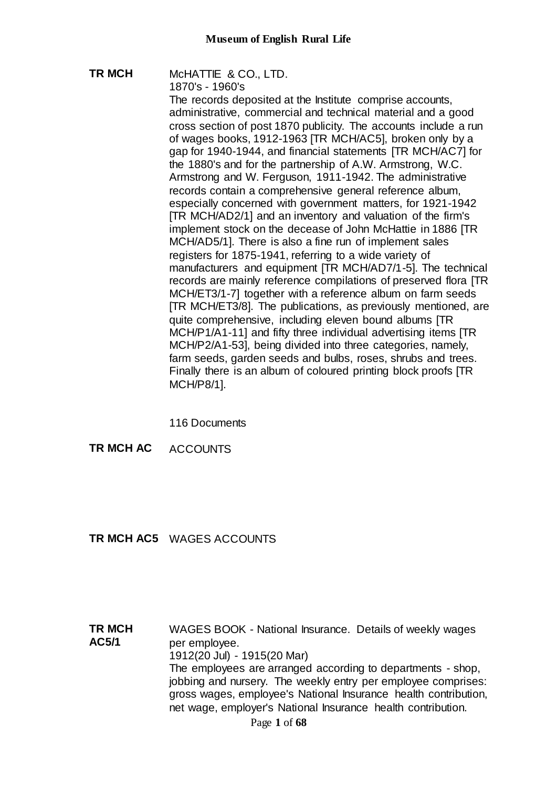# **TR MCH** McHATTIE & CO., LTD.

1870's - 1960's

The records deposited at the Institute comprise accounts, administrative, commercial and technical material and a good cross section of post 1870 publicity. The accounts include a run of wages books, 1912-1963 [TR MCH/AC5], broken only by a gap for 1940-1944, and financial statements [TR MCH/AC7] for the 1880's and for the partnership of A.W. Armstrong, W.C. Armstrong and W. Ferguson, 1911-1942. The administrative records contain a comprehensive general reference album, especially concerned with government matters, for 1921-1942 [TR MCH/AD2/1] and an inventory and valuation of the firm's implement stock on the decease of John McHattie in 1886 [TR MCH/AD5/1]. There is also a fine run of implement sales registers for 1875-1941, referring to a wide variety of manufacturers and equipment [TR MCH/AD7/1-5]. The technical records are mainly reference compilations of preserved flora [TR MCH/ET3/1-7] together with a reference album on farm seeds [TR MCH/ET3/8]. The publications, as previously mentioned, are quite comprehensive, including eleven bound albums [TR MCH/P1/A1-11] and fifty three individual advertising items [TR MCH/P2/A1-53], being divided into three categories, namely, farm seeds, garden seeds and bulbs, roses, shrubs and trees. Finally there is an album of coloured printing block proofs [TR MCH/P8/1].

116 Documents

**TR MCH AC** ACCOUNTS

# **TR MCH AC5** WAGES ACCOUNTS

**TR MCH AC5/1** WAGES BOOK - National Insurance. Details of weekly wages per employee. 1912(20 Jul) - 1915(20 Mar) The employees are arranged according to departments - shop, jobbing and nursery. The weekly entry per employee comprises: gross wages, employee's National Insurance health contribution, net wage, employer's National Insurance health contribution.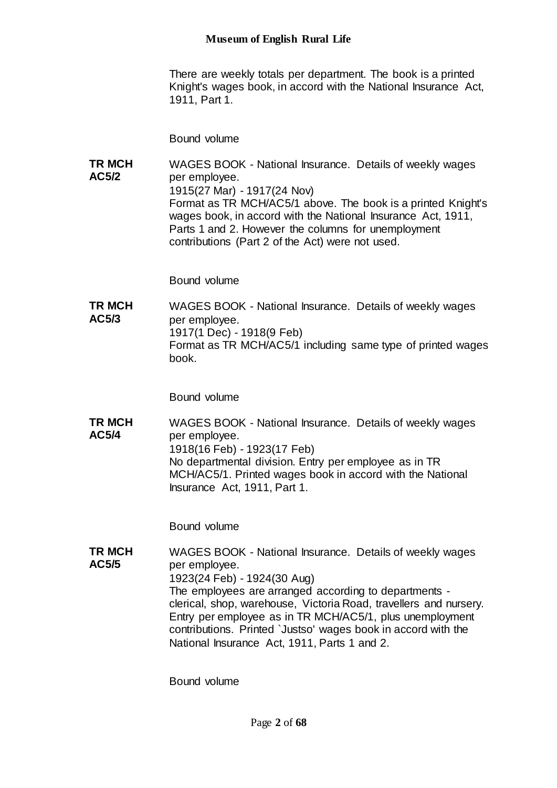There are weekly totals per department. The book is a printed Knight's wages book, in accord with the National Insurance Act, 1911, Part 1.

Bound volume

**TR MCH AC5/2** WAGES BOOK - National Insurance. Details of weekly wages per employee. 1915(27 Mar) - 1917(24 Nov) Format as TR MCH/AC5/1 above. The book is a printed Knight's wages book, in accord with the National Insurance Act, 1911, Parts 1 and 2. However the columns for unemployment contributions (Part 2 of the Act) were not used.

Bound volume

**TR MCH AC5/3** WAGES BOOK - National Insurance. Details of weekly wages per employee. 1917(1 Dec) - 1918(9 Feb) Format as TR MCH/AC5/1 including same type of printed wages book.

Bound volume

**TR MCH AC5/4** WAGES BOOK - National Insurance. Details of weekly wages per employee. 1918(16 Feb) - 1923(17 Feb) No departmental division. Entry per employee as in TR MCH/AC5/1. Printed wages book in accord with the National Insurance Act, 1911, Part 1.

Bound volume

**TR MCH AC5/5** WAGES BOOK - National Insurance. Details of weekly wages per employee. 1923(24 Feb) - 1924(30 Aug) The employees are arranged according to departments clerical, shop, warehouse, Victoria Road, travellers and nursery. Entry per employee as in TR MCH/AC5/1, plus unemployment contributions. Printed `Justso' wages book in accord with the National Insurance Act, 1911, Parts 1 and 2.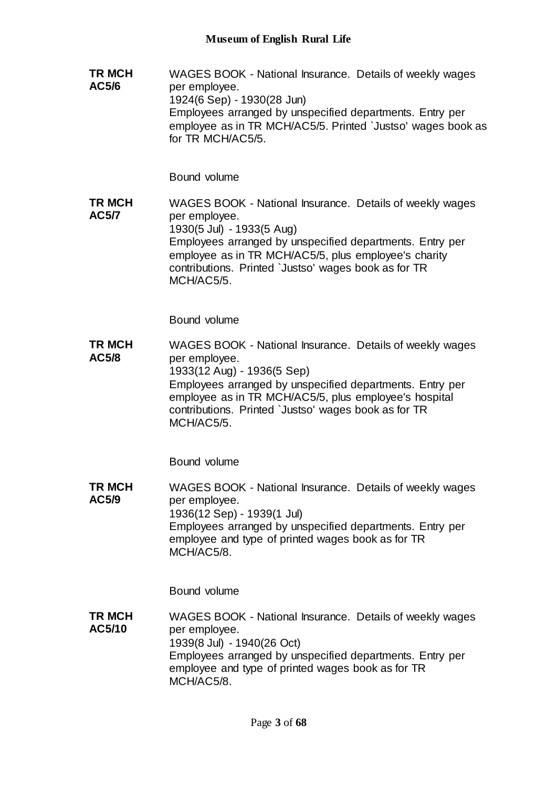**TR MCH AC5/6** WAGES BOOK - National Insurance. Details of weekly wages per employee. 1924(6 Sep) - 1930(28 Jun) Employees arranged by unspecified departments. Entry per employee as in TR MCH/AC5/5. Printed `Justso' wages book as for TR MCH/AC5/5.

Bound volume

**TR MCH AC5/7** WAGES BOOK - National Insurance. Details of weekly wages per employee. 1930(5 Jul) - 1933(5 Aug) Employees arranged by unspecified departments. Entry per employee as in TR MCH/AC5/5, plus employee's charity contributions. Printed `Justso' wages book as for TR MCH/AC5/5.

Bound volume

**TR MCH AC5/8** WAGES BOOK - National Insurance. Details of weekly wages per employee. 1933(12 Aug) - 1936(5 Sep) Employees arranged by unspecified departments. Entry per employee as in TR MCH/AC5/5, plus employee's hospital contributions. Printed `Justso' wages book as for TR MCH/AC5/5.

Bound volume

**TR MCH AC5/9** WAGES BOOK - National Insurance. Details of weekly wages per employee. 1936(12 Sep) - 1939(1 Jul) Employees arranged by unspecified departments. Entry per employee and type of printed wages book as for TR MCH/AC5/8.

Bound volume

**TR MCH AC5/10** WAGES BOOK - National Insurance. Details of weekly wages per employee. 1939(8 Jul) - 1940(26 Oct) Employees arranged by unspecified departments. Entry per employee and type of printed wages book as for TR MCH/AC5/8.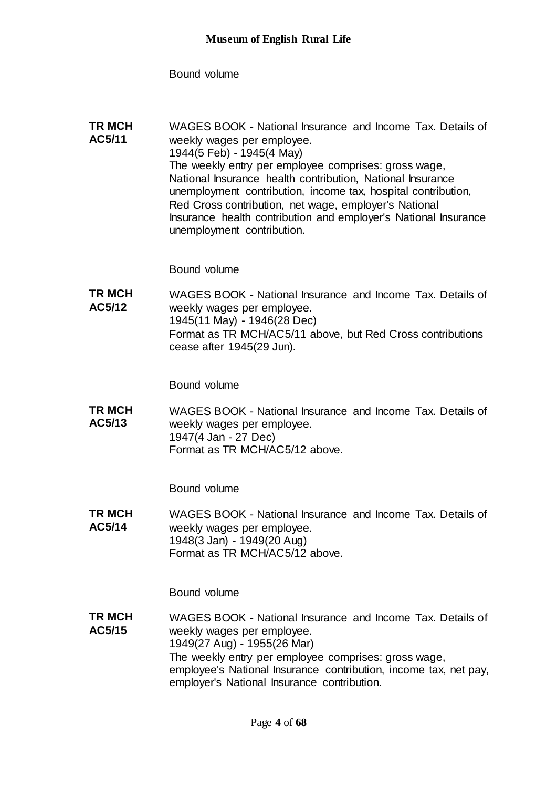Bound volume

**TR MCH AC5/11** WAGES BOOK - National Insurance and Income Tax. Details of weekly wages per employee. 1944(5 Feb) - 1945(4 May) The weekly entry per employee comprises: gross wage, National Insurance health contribution, National Insurance unemployment contribution, income tax, hospital contribution, Red Cross contribution, net wage, employer's National Insurance health contribution and employer's National Insurance unemployment contribution.

Bound volume

**TR MCH AC5/12** WAGES BOOK - National Insurance and Income Tax. Details of weekly wages per employee. 1945(11 May) - 1946(28 Dec) Format as TR MCH/AC5/11 above, but Red Cross contributions cease after 1945(29 Jun).

Bound volume

**TR MCH AC5/13** WAGES BOOK - National Insurance and Income Tax. Details of weekly wages per employee. 1947(4 Jan - 27 Dec) Format as TR MCH/AC5/12 above.

Bound volume

**TR MCH AC5/14** WAGES BOOK - National Insurance and Income Tax. Details of weekly wages per employee. 1948(3 Jan) - 1949(20 Aug) Format as TR MCH/AC5/12 above.

Bound volume

**TR MCH AC5/15** WAGES BOOK - National Insurance and Income Tax. Details of weekly wages per employee. 1949(27 Aug) - 1955(26 Mar) The weekly entry per employee comprises: gross wage, employee's National Insurance contribution, income tax, net pay, employer's National Insurance contribution.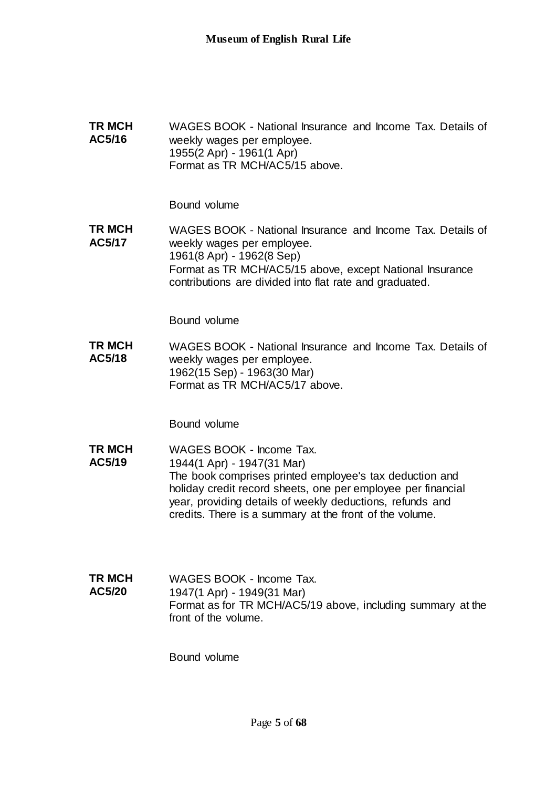**TR MCH AC5/16** WAGES BOOK - National Insurance and Income Tax. Details of weekly wages per employee. 1955(2 Apr) - 1961(1 Apr) Format as TR MCH/AC5/15 above.

Bound volume

**TR MCH AC5/17** WAGES BOOK - National Insurance and Income Tax. Details of weekly wages per employee. 1961(8 Apr) - 1962(8 Sep) Format as TR MCH/AC5/15 above, except National Insurance contributions are divided into flat rate and graduated.

Bound volume

**TR MCH AC5/18** WAGES BOOK - National Insurance and Income Tax. Details of weekly wages per employee. 1962(15 Sep) - 1963(30 Mar) Format as TR MCH/AC5/17 above.

Bound volume

- **TR MCH AC5/19** WAGES BOOK - Income Tax. 1944(1 Apr) - 1947(31 Mar) The book comprises printed employee's tax deduction and holiday credit record sheets, one per employee per financial year, providing details of weekly deductions, refunds and credits. There is a summary at the front of the volume.
- **TR MCH AC5/20** WAGES BOOK - Income Tax. 1947(1 Apr) - 1949(31 Mar) Format as for TR MCH/AC5/19 above, including summary at the front of the volume.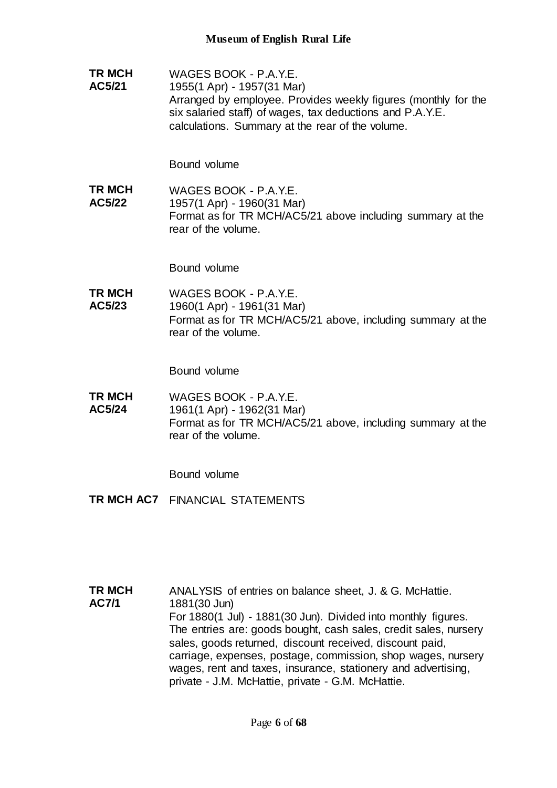**TR MCH AC5/21** WAGES BOOK - P.A.Y.E. 1955(1 Apr) - 1957(31 Mar) Arranged by employee. Provides weekly figures (monthly for the six salaried staff) of wages, tax deductions and P.A.Y.E. calculations. Summary at the rear of the volume.

Bound volume

**TR MCH AC5/22** WAGES BOOK - P.A.Y.E. 1957(1 Apr) - 1960(31 Mar) Format as for TR MCH/AC5/21 above including summary at the rear of the volume.

Bound volume

**TR MCH AC5/23** WAGES BOOK - P.A.Y.E. 1960(1 Apr) - 1961(31 Mar) Format as for TR MCH/AC5/21 above, including summary at the rear of the volume.

Bound volume

**TR MCH AC5/24** WAGES BOOK - P.A.Y.E. 1961(1 Apr) - 1962(31 Mar) Format as for TR MCH/AC5/21 above, including summary at the rear of the volume.

- **TR MCH AC7** FINANCIAL STATEMENTS
- **TR MCH AC7/1** ANALYSIS of entries on balance sheet, J. & G. McHattie. 1881(30 Jun) For 1880(1 Jul) - 1881(30 Jun). Divided into monthly figures. The entries are: goods bought, cash sales, credit sales, nursery sales, goods returned, discount received, discount paid, carriage, expenses, postage, commission, shop wages, nursery wages, rent and taxes, insurance, stationery and advertising, private - J.M. McHattie, private - G.M. McHattie.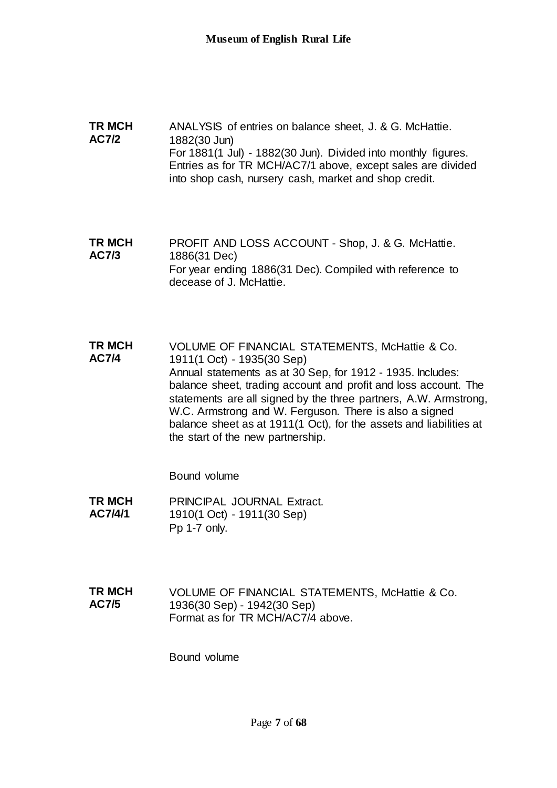**TR MCH AC7/2** ANALYSIS of entries on balance sheet, J. & G. McHattie. 1882(30 Jun) For 1881(1 Jul) - 1882(30 Jun). Divided into monthly figures. Entries as for TR MCH/AC7/1 above, except sales are divided into shop cash, nursery cash, market and shop credit.

**TR MCH AC7/3** PROFIT AND LOSS ACCOUNT - Shop, J. & G. McHattie. 1886(31 Dec) For year ending 1886(31 Dec). Compiled with reference to decease of J. McHattie.

**TR MCH AC7/4** VOLUME OF FINANCIAL STATEMENTS, McHattie & Co. 1911(1 Oct) - 1935(30 Sep) Annual statements as at 30 Sep, for 1912 - 1935. Includes: balance sheet, trading account and profit and loss account. The statements are all signed by the three partners, A.W. Armstrong, W.C. Armstrong and W. Ferguson. There is also a signed balance sheet as at 1911(1 Oct), for the assets and liabilities at the start of the new partnership.

Bound volume

**TR MCH AC7/4/1** PRINCIPAL JOURNAL Extract. 1910(1 Oct) - 1911(30 Sep) Pp 1-7 only.

**TR MCH AC7/5** VOLUME OF FINANCIAL STATEMENTS, McHattie & Co. 1936(30 Sep) - 1942(30 Sep) Format as for TR MCH/AC7/4 above.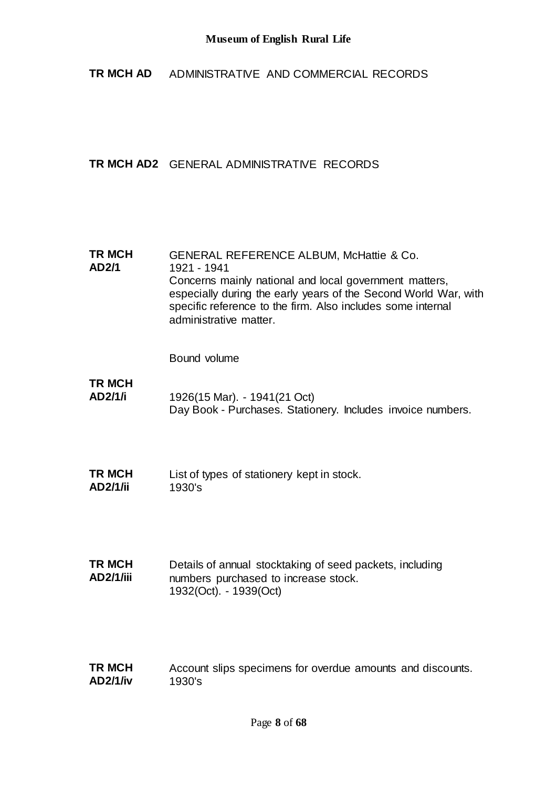**TR MCH AD** ADMINISTRATIVE AND COMMERCIAL RECORDS

# **TR MCH AD2** GENERAL ADMINISTRATIVE RECORDS

### **TR MCH AD2/1** GENERAL REFERENCE ALBUM, McHattie & Co. 1921 - 1941 Concerns mainly national and local government matters, especially during the early years of the Second World War, with specific reference to the firm. Also includes some internal administrative matter.

- **TR MCH AD2/1/i** 1926(15 Mar). - 1941(21 Oct) Day Book - Purchases. Stationery. Includes invoice numbers.
- **TR MCH AD2/1/ii** List of types of stationery kept in stock. 1930's
- **TR MCH AD2/1/iii** Details of annual stocktaking of seed packets, including numbers purchased to increase stock. 1932(Oct). - 1939(Oct)
- **TR MCH AD2/1/iv** Account slips specimens for overdue amounts and discounts. 1930's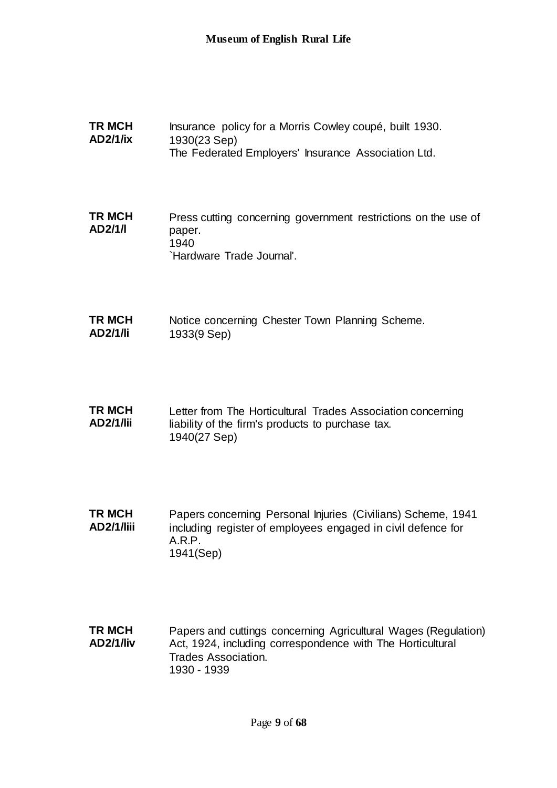| <b>TR MCH</b><br><b>AD2/1/ix</b>  | Insurance policy for a Morris Cowley coupé, built 1930.<br>1930(23 Sep)<br>The Federated Employers' Insurance Association Ltd.                      |
|-----------------------------------|-----------------------------------------------------------------------------------------------------------------------------------------------------|
| <b>TR MCH</b><br>AD2/1/I          | Press cutting concerning government restrictions on the use of<br>paper.<br>1940<br>'Hardware Trade Journal'.                                       |
| <b>TR MCH</b><br><b>AD2/1/li</b>  | Notice concerning Chester Town Planning Scheme.<br>1933(9 Sep)                                                                                      |
| <b>TR MCH</b><br><b>AD2/1/lii</b> | Letter from The Horticultural Trades Association concerning<br>liability of the firm's products to purchase tax.<br>1940(27 Sep)                    |
| TR MCH<br>AD2/1/liii              | Papers concerning Personal Injuries (Civilians) Scheme, 1941<br>including register of employees engaged in civil defence for<br>A.R.P.<br>1941(Sep) |
| <b>TR MCH</b><br>802/17.11        | Papers and cuttings concerning Agricultural Wages (Regulation)<br>Act 1024 including correspondence with The Herticultural                          |

**AD2/1/liv** Act, 1924, including correspondence with The Horticultural Trades Association. 1930 - 1939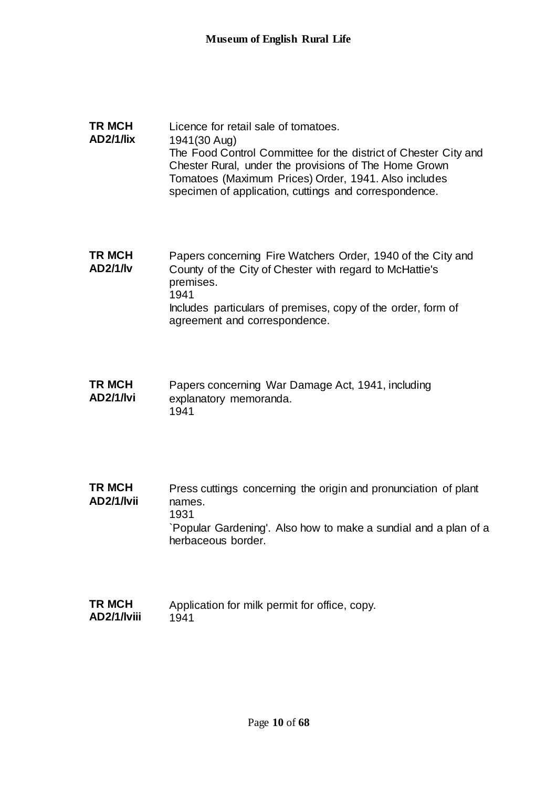### **TR MCH AD2/1/lix** Licence for retail sale of tomatoes. 1941(30 Aug) The Food Control Committee for the district of Chester City and Chester Rural, under the provisions of The Home Grown Tomatoes (Maximum Prices) Order, 1941. Also includes specimen of application, cuttings and correspondence.

**TR MCH AD2/1/lv** Papers concerning Fire Watchers Order, 1940 of the City and County of the City of Chester with regard to McHattie's premises. 1941 Includes particulars of premises, copy of the order, form of agreement and correspondence.

- **TR MCH AD2/1/lvi** Papers concerning War Damage Act, 1941, including explanatory memoranda. 1941
- **TR MCH AD2/1/lvii** Press cuttings concerning the origin and pronunciation of plant names. 1931 `Popular Gardening'. Also how to make a sundial and a plan of a herbaceous border.
- **TR MCH AD2/1/lviii** Application for milk permit for office, copy. 1941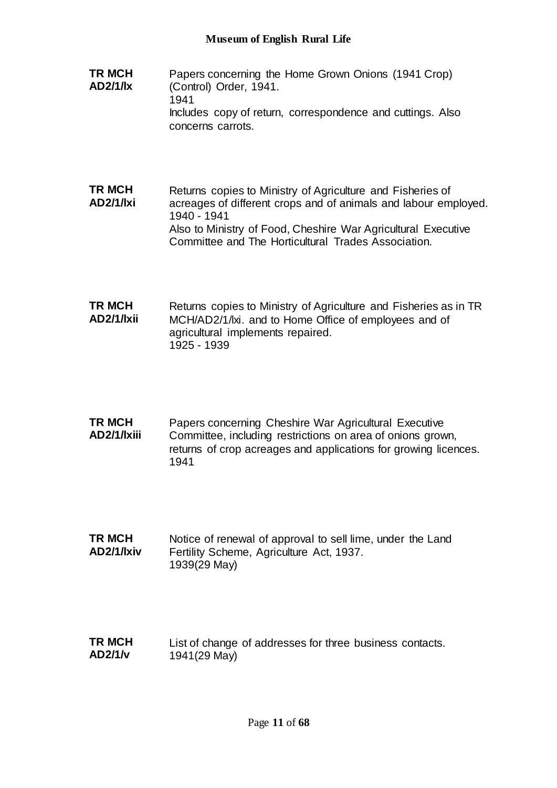- **TR MCH AD2/1/lx** Papers concerning the Home Grown Onions (1941 Crop) (Control) Order, 1941. 1941 Includes copy of return, correspondence and cuttings. Also concerns carrots.
- **TR MCH AD2/1/lxi** Returns copies to Ministry of Agriculture and Fisheries of acreages of different crops and of animals and labour employed. 1940 - 1941 Also to Ministry of Food, Cheshire War Agricultural Executive Committee and The Horticultural Trades Association.
- **TR MCH AD2/1/lxii** Returns copies to Ministry of Agriculture and Fisheries as in TR MCH/AD2/1/lxi. and to Home Office of employees and of agricultural implements repaired. 1925 - 1939
- **TR MCH AD2/1/lxiii** Papers concerning Cheshire War Agricultural Executive Committee, including restrictions on area of onions grown, returns of crop acreages and applications for growing licences. 1941
- **TR MCH AD2/1/lxiv** Notice of renewal of approval to sell lime, under the Land Fertility Scheme, Agriculture Act, 1937. 1939(29 May)
- **TR MCH AD2/1/v** List of change of addresses for three business contacts. 1941(29 May)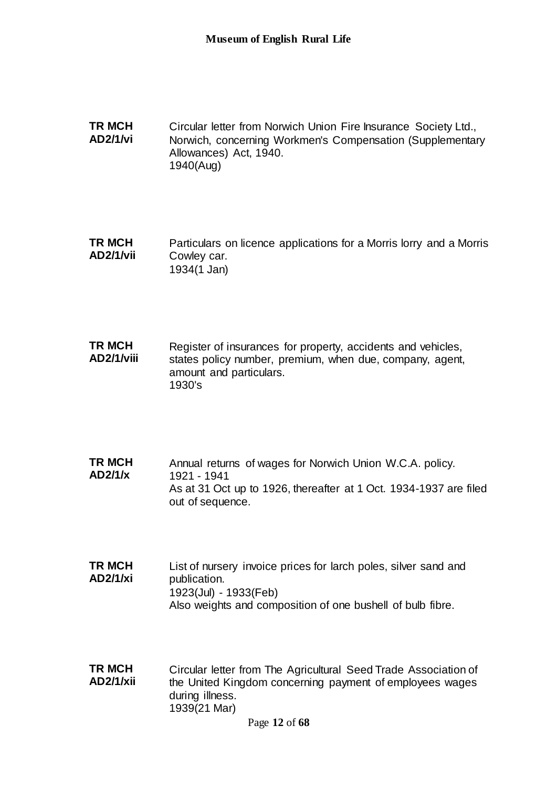**TR MCH AD2/1/vi** Circular letter from Norwich Union Fire Insurance Society Ltd., Norwich, concerning Workmen's Compensation (Supplementary Allowances) Act, 1940. 1940(Aug)

**TR MCH AD2/1/vii** Particulars on licence applications for a Morris lorry and a Morris Cowley car. 1934(1 Jan)

**TR MCH AD2/1/viii** Register of insurances for property, accidents and vehicles, states policy number, premium, when due, company, agent, amount and particulars. 1930's

- **TR MCH AD2/1/x** Annual returns of wages for Norwich Union W.C.A. policy. 1921 - 1941 As at 31 Oct up to 1926, thereafter at 1 Oct. 1934-1937 are filed out of sequence.
- **TR MCH AD2/1/xi** List of nursery invoice prices for larch poles, silver sand and publication. 1923(Jul) - 1933(Feb) Also weights and composition of one bushell of bulb fibre.
- **TR MCH AD2/1/xii** Circular letter from The Agricultural Seed Trade Association of the United Kingdom concerning payment of employees wages during illness. 1939(21 Mar)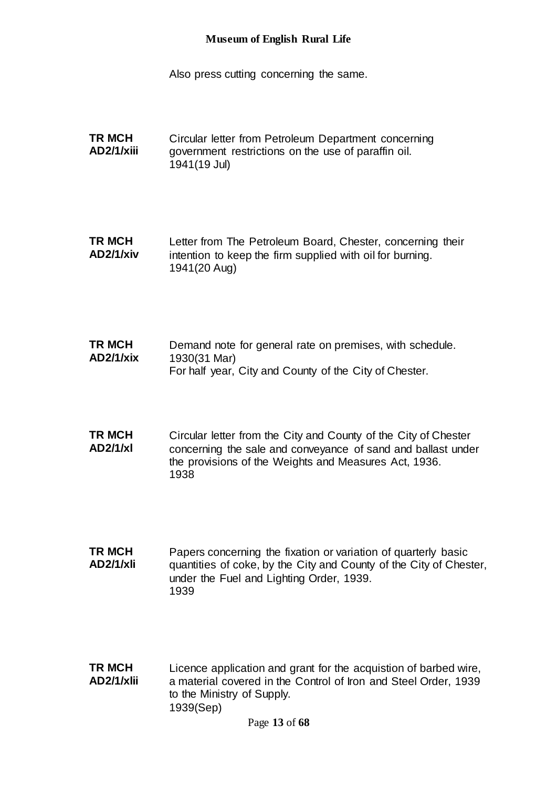Also press cutting concerning the same.

**TR MCH AD2/1/xiii** Circular letter from Petroleum Department concerning government restrictions on the use of paraffin oil. 1941(19 Jul)

**TR MCH AD2/1/xiv** Letter from The Petroleum Board, Chester, concerning their intention to keep the firm supplied with oil for burning. 1941(20 Aug)

**TR MCH AD2/1/xix** Demand note for general rate on premises, with schedule. 1930(31 Mar) For half year, City and County of the City of Chester.

**TR MCH AD2/1/xl** Circular letter from the City and County of the City of Chester concerning the sale and conveyance of sand and ballast under the provisions of the Weights and Measures Act, 1936. 1938

**TR MCH AD2/1/xli** Papers concerning the fixation or variation of quarterly basic quantities of coke, by the City and County of the City of Chester, under the Fuel and Lighting Order, 1939. 1939

**TR MCH AD2/1/xlii** Licence application and grant for the acquistion of barbed wire, a material covered in the Control of Iron and Steel Order, 1939 to the Ministry of Supply. 1939(Sep)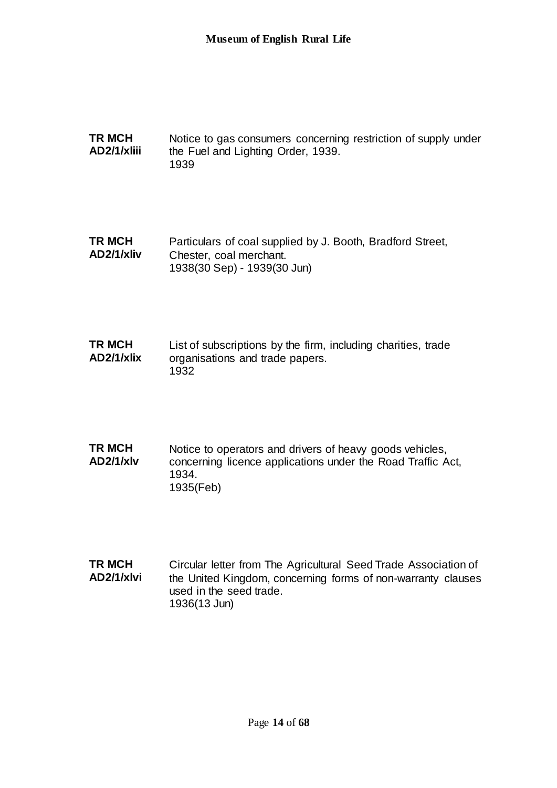**TR MCH AD2/1/xliii** Notice to gas consumers concerning restriction of supply under the Fuel and Lighting Order, 1939. 1939

**TR MCH AD2/1/xliv** Particulars of coal supplied by J. Booth, Bradford Street, Chester, coal merchant. 1938(30 Sep) - 1939(30 Jun)

**TR MCH AD2/1/xlix** List of subscriptions by the firm, including charities, trade organisations and trade papers. 1932

**TR MCH AD2/1/xlv** Notice to operators and drivers of heavy goods vehicles, concerning licence applications under the Road Traffic Act, 1934. 1935(Feb)

**TR MCH AD2/1/xlvi** Circular letter from The Agricultural Seed Trade Association of the United Kingdom, concerning forms of non-warranty clauses used in the seed trade. 1936(13 Jun)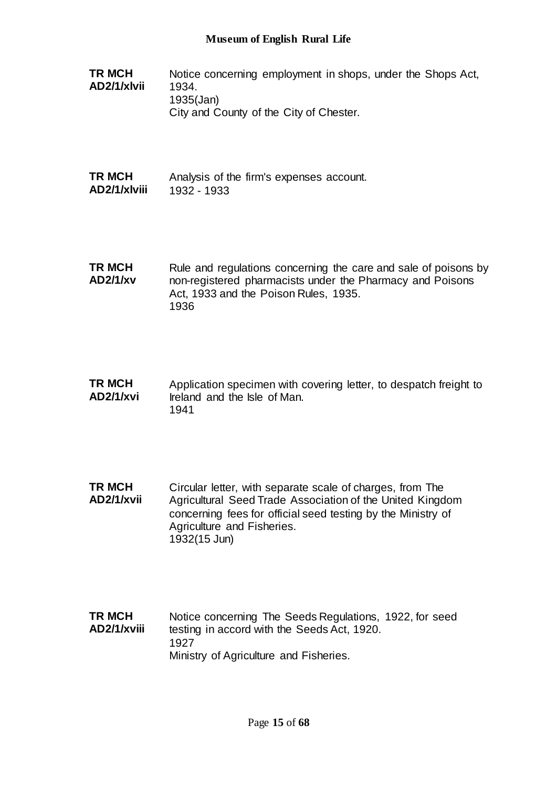- **TR MCH AD2/1/xlvii** Notice concerning employment in shops, under the Shops Act, 1934. 1935(Jan) City and County of the City of Chester.
- **TR MCH AD2/1/xlviii** Analysis of the firm's expenses account. 1932 - 1933
- **TR MCH AD2/1/xv** Rule and regulations concerning the care and sale of poisons by non-registered pharmacists under the Pharmacy and Poisons Act, 1933 and the Poison Rules, 1935. 1936
- **TR MCH AD2/1/xvi** Application specimen with covering letter, to despatch freight to Ireland and the Isle of Man. 1941
- **TR MCH AD2/1/xvii** Circular letter, with separate scale of charges, from The Agricultural Seed Trade Association of the United Kingdom concerning fees for official seed testing by the Ministry of Agriculture and Fisheries. 1932(15 Jun)
- **TR MCH AD2/1/xviii** Notice concerning The Seeds Regulations, 1922, for seed testing in accord with the Seeds Act, 1920. 1927 Ministry of Agriculture and Fisheries.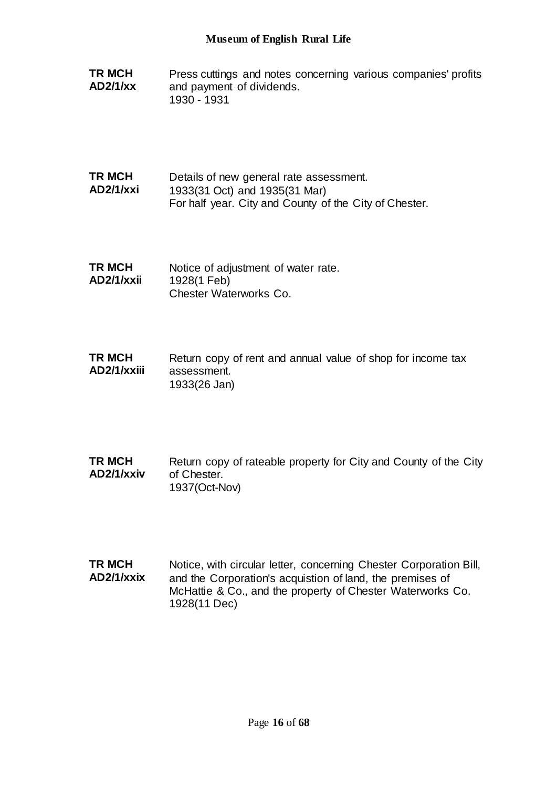**TR MCH AD2/1/xx** Press cuttings and notes concerning various companies' profits and payment of dividends. 1930 - 1931

**TR MCH AD2/1/xxi** Details of new general rate assessment. 1933(31 Oct) and 1935(31 Mar) For half year. City and County of the City of Chester.

**TR MCH AD2/1/xxii** Notice of adjustment of water rate. 1928(1 Feb) Chester Waterworks Co.

**TR MCH AD2/1/xxiii** Return copy of rent and annual value of shop for income tax assessment. 1933(26 Jan)

- **TR MCH AD2/1/xxiv** Return copy of rateable property for City and County of the City of Chester. 1937(Oct-Nov)
- **TR MCH AD2/1/xxix** Notice, with circular letter, concerning Chester Corporation Bill, and the Corporation's acquistion of land, the premises of McHattie & Co., and the property of Chester Waterworks Co. 1928(11 Dec)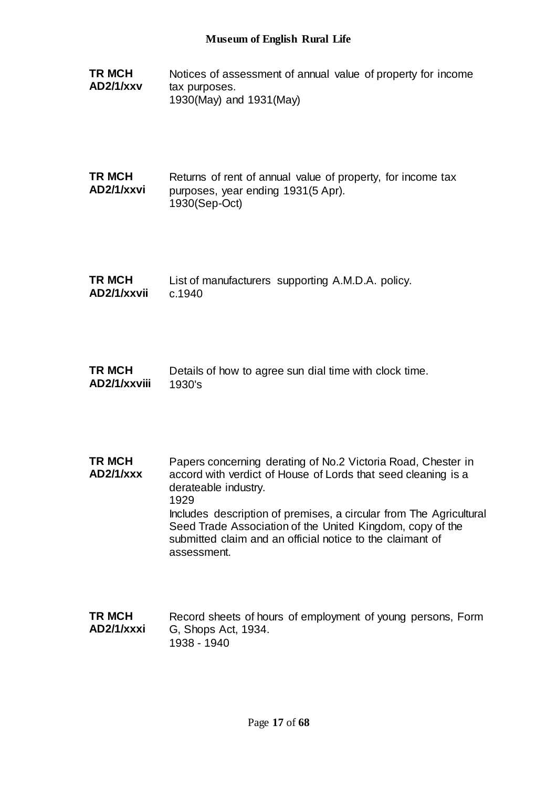- **TR MCH AD2/1/xxv** Notices of assessment of annual value of property for income tax purposes. 1930(May) and 1931(May)
- **TR MCH AD2/1/xxvi** Returns of rent of annual value of property, for income tax purposes, year ending 1931(5 Apr). 1930(Sep-Oct)
- **TR MCH AD2/1/xxvii** List of manufacturers supporting A.M.D.A. policy. c.1940
- **TR MCH AD2/1/xxviii** Details of how to agree sun dial time with clock time. 1930's
- **TR MCH AD2/1/xxx** Papers concerning derating of No.2 Victoria Road, Chester in accord with verdict of House of Lords that seed cleaning is a derateable industry. 1929 Includes description of premises, a circular from The Agricultural Seed Trade Association of the United Kingdom, copy of the submitted claim and an official notice to the claimant of assessment.
- **TR MCH AD2/1/xxxi** Record sheets of hours of employment of young persons, Form G, Shops Act, 1934. 1938 - 1940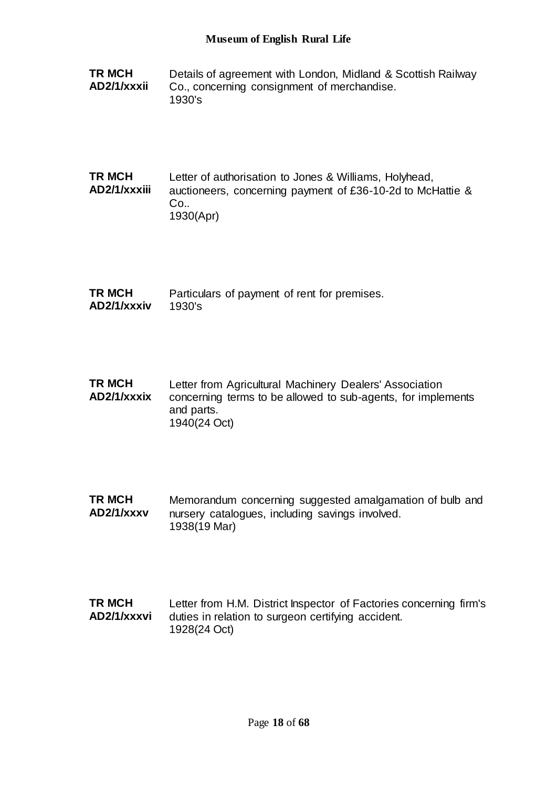**TR MCH AD2/1/xxxii** Details of agreement with London, Midland & Scottish Railway Co., concerning consignment of merchandise. 1930's

### **TR MCH AD2/1/xxxiii** Letter of authorisation to Jones & Williams, Holyhead, auctioneers, concerning payment of £36-10-2d to McHattie & Co.. 1930(Apr)

| <b>TR MCH</b> | Particulars of payment of rent for premises. |
|---------------|----------------------------------------------|
| AD2/1/xxxiv   | 1930's                                       |

| TR MCH<br>AD2/1/xxxix | Letter from Agricultural Machinery Dealers' Association<br>concerning terms to be allowed to sub-agents, for implements |
|-----------------------|-------------------------------------------------------------------------------------------------------------------------|
|                       | and parts.                                                                                                              |
|                       | 1940(24 Oct)                                                                                                            |

**TR MCH AD2/1/xxxv** Memorandum concerning suggested amalgamation of bulb and nursery catalogues, including savings involved. 1938(19 Mar)

### **TR MCH AD2/1/xxxvi** Letter from H.M. District Inspector of Factories concerning firm's duties in relation to surgeon certifying accident. 1928(24 Oct)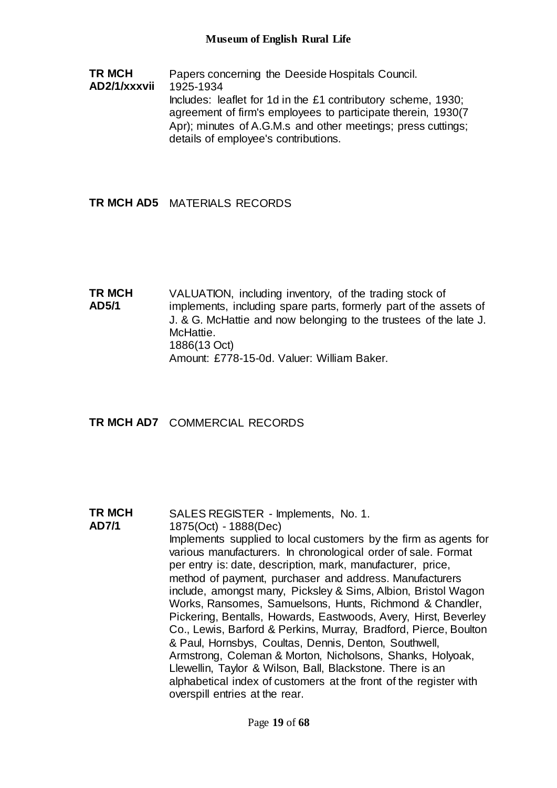**TR MCH AD2/1/xxxvii** Papers concerning the Deeside Hospitals Council. 1925-1934 Includes: leaflet for 1d in the £1 contributory scheme, 1930; agreement of firm's employees to participate therein, 1930(7 Apr); minutes of A.G.M.s and other meetings; press cuttings; details of employee's contributions.

# **TR MCH AD5** MATERIALS RECORDS

**TR MCH AD5/1** VALUATION, including inventory, of the trading stock of implements, including spare parts, formerly part of the assets of J. & G. McHattie and now belonging to the trustees of the late J. McHattie. 1886(13 Oct) Amount: £778-15-0d. Valuer: William Baker.

**TR MCH AD7** COMMERCIAL RECORDS

**TR MCH AD7/1** SALES REGISTER - Implements, No. 1. 1875(Oct) - 1888(Dec) Implements supplied to local customers by the firm as agents for various manufacturers. In chronological order of sale. Format per entry is: date, description, mark, manufacturer, price, method of payment, purchaser and address. Manufacturers include, amongst many, Picksley & Sims, Albion, Bristol Wagon Works, Ransomes, Samuelsons, Hunts, Richmond & Chandler, Pickering, Bentalls, Howards, Eastwoods, Avery, Hirst, Beverley Co., Lewis, Barford & Perkins, Murray, Bradford, Pierce, Boulton & Paul, Hornsbys, Coultas, Dennis, Denton, Southwell, Armstrong, Coleman & Morton, Nicholsons, Shanks, Holyoak, Llewellin, Taylor & Wilson, Ball, Blackstone. There is an alphabetical index of customers at the front of the register with overspill entries at the rear.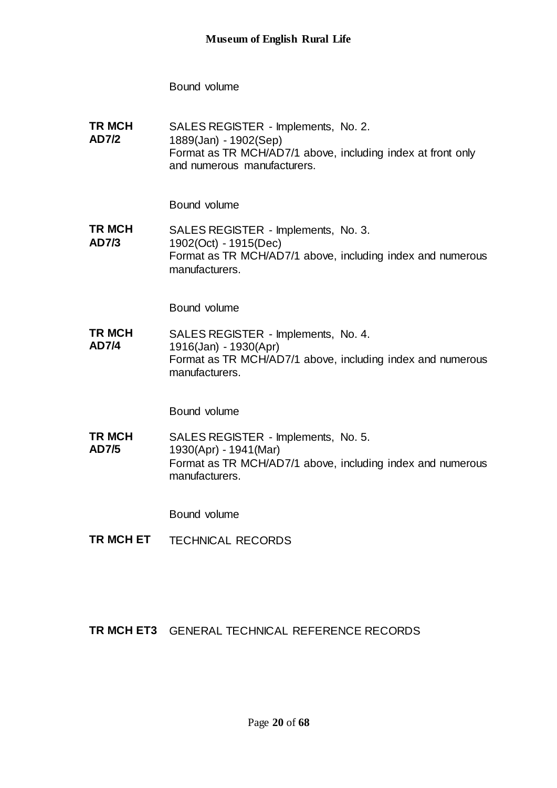Bound volume

**TR MCH AD7/2** SALES REGISTER - Implements, No. 2. 1889(Jan) - 1902(Sep) Format as TR MCH/AD7/1 above, including index at front only and numerous manufacturers.

Bound volume

**TR MCH AD7/3** SALES REGISTER - Implements, No. 3. 1902(Oct) - 1915(Dec) Format as TR MCH/AD7/1 above, including index and numerous manufacturers.

Bound volume

**TR MCH AD7/4** SALES REGISTER - Implements, No. 4. 1916(Jan) - 1930(Apr) Format as TR MCH/AD7/1 above, including index and numerous manufacturers.

Bound volume

**TR MCH AD7/5** SALES REGISTER - Implements, No. 5. 1930(Apr) - 1941(Mar) Format as TR MCH/AD7/1 above, including index and numerous manufacturers.

Bound volume

**TR MCH ET** TECHNICAL RECORDS

**TR MCH ET3** GENERAL TECHNICAL REFERENCE RECORDS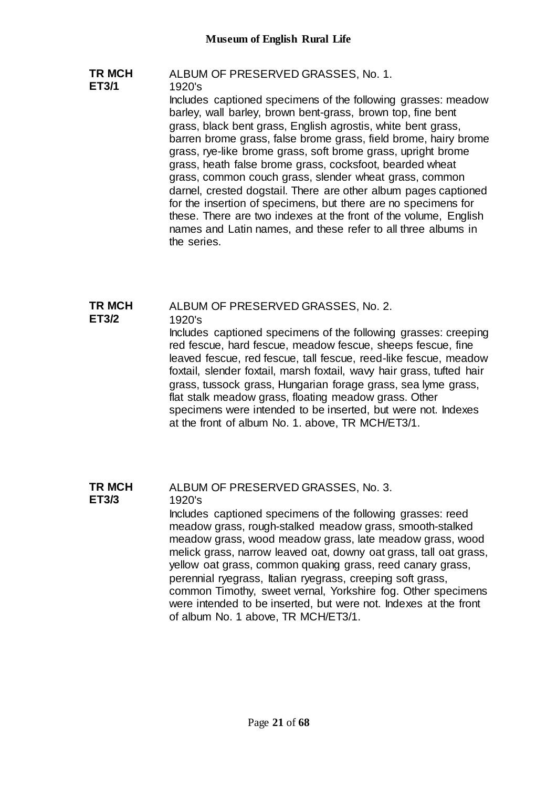### **TR MCH ET3/1** ALBUM OF PRESERVED GRASSES, No. 1. 1920's Includes captioned specimens of the following grasses: meadow barley, wall barley, brown bent-grass, brown top, fine bent grass, black bent grass, English agrostis, white bent grass, barren brome grass, false brome grass, field brome, hairy brome grass, rye-like brome grass, soft brome grass, upright brome grass, heath false brome grass, cocksfoot, bearded wheat grass, common couch grass, slender wheat grass, common darnel, crested dogstail. There are other album pages captioned for the insertion of specimens, but there are no specimens for these. There are two indexes at the front of the volume, English names and Latin names, and these refer to all three albums in the series.

#### **TR MCH**  ALBUM OF PRESERVED GRASSES, No. 2.

#### **ET3/2** 1920's

Includes captioned specimens of the following grasses: creeping red fescue, hard fescue, meadow fescue, sheeps fescue, fine leaved fescue, red fescue, tall fescue, reed-like fescue, meadow foxtail, slender foxtail, marsh foxtail, wavy hair grass, tufted hair grass, tussock grass, Hungarian forage grass, sea lyme grass, flat stalk meadow grass, floating meadow grass. Other specimens were intended to be inserted, but were not. Indexes at the front of album No. 1. above, TR MCH/ET3/1.

#### **TR MCH ET3/3** ALBUM OF PRESERVED GRASSES, No. 3. 1920's

Includes captioned specimens of the following grasses: reed meadow grass, rough-stalked meadow grass, smooth-stalked meadow grass, wood meadow grass, late meadow grass, wood melick grass, narrow leaved oat, downy oat grass, tall oat grass, yellow oat grass, common quaking grass, reed canary grass, perennial ryegrass, Italian ryegrass, creeping soft grass, common Timothy, sweet vernal, Yorkshire fog. Other specimens were intended to be inserted, but were not. Indexes at the front of album No. 1 above, TR MCH/ET3/1.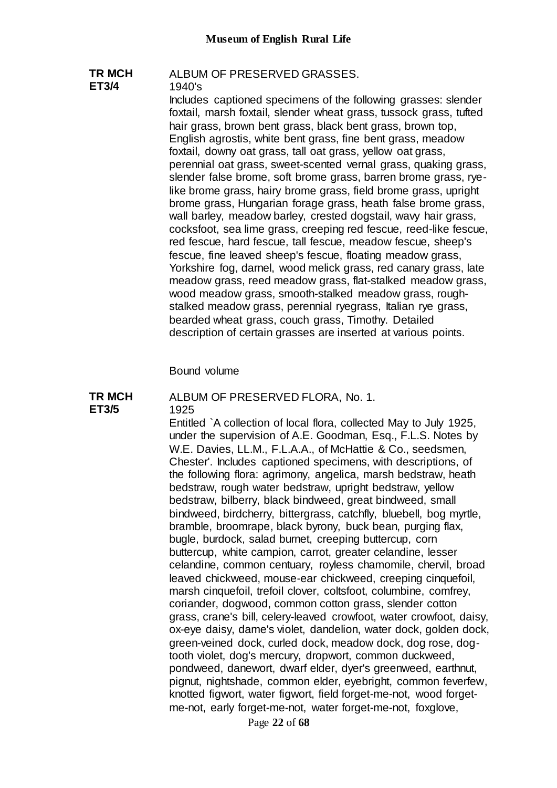### **TR MCH ET3/4** ALBUM OF PRESERVED GRASSES. 1940's

Includes captioned specimens of the following grasses: slender foxtail, marsh foxtail, slender wheat grass, tussock grass, tufted hair grass, brown bent grass, black bent grass, brown top, English agrostis, white bent grass, fine bent grass, meadow foxtail, downy oat grass, tall oat grass, yellow oat grass, perennial oat grass, sweet-scented vernal grass, quaking grass, slender false brome, soft brome grass, barren brome grass, ryelike brome grass, hairy brome grass, field brome grass, upright brome grass, Hungarian forage grass, heath false brome grass, wall barley, meadow barley, crested dogstail, wavy hair grass, cocksfoot, sea lime grass, creeping red fescue, reed-like fescue, red fescue, hard fescue, tall fescue, meadow fescue, sheep's fescue, fine leaved sheep's fescue, floating meadow grass, Yorkshire fog, darnel, wood melick grass, red canary grass, late meadow grass, reed meadow grass, flat-stalked meadow grass, wood meadow grass, smooth-stalked meadow grass, roughstalked meadow grass, perennial ryegrass, Italian rye grass, bearded wheat grass, couch grass, Timothy. Detailed description of certain grasses are inserted at various points.

Bound volume

#### **TR MCH ET3/5** ALBUM OF PRESERVED FLORA, No. 1. 1925

Entitled `A collection of local flora, collected May to July 1925, under the supervision of A.E. Goodman, Esq., F.L.S. Notes by W.E. Davies, LL.M., F.L.A.A., of McHattie & Co., seedsmen, Chester'. Includes captioned specimens, with descriptions, of the following flora: agrimony, angelica, marsh bedstraw, heath bedstraw, rough water bedstraw, upright bedstraw, yellow bedstraw, bilberry, black bindweed, great bindweed, small bindweed, birdcherry, bittergrass, catchfly, bluebell, bog myrtle, bramble, broomrape, black byrony, buck bean, purging flax, bugle, burdock, salad burnet, creeping buttercup, corn buttercup, white campion, carrot, greater celandine, lesser celandine, common centuary, royless chamomile, chervil, broad leaved chickweed, mouse-ear chickweed, creeping cinquefoil, marsh cinquefoil, trefoil clover, coltsfoot, columbine, comfrey, coriander, dogwood, common cotton grass, slender cotton grass, crane's bill, celery-leaved crowfoot, water crowfoot, daisy, ox-eye daisy, dame's violet, dandelion, water dock, golden dock, green-veined dock, curled dock, meadow dock, dog rose, dogtooth violet, dog's mercury, dropwort, common duckweed, pondweed, danewort, dwarf elder, dyer's greenweed, earthnut, pignut, nightshade, common elder, eyebright, common feverfew, knotted figwort, water figwort, field forget-me-not, wood forgetme-not, early forget-me-not, water forget-me-not, foxglove,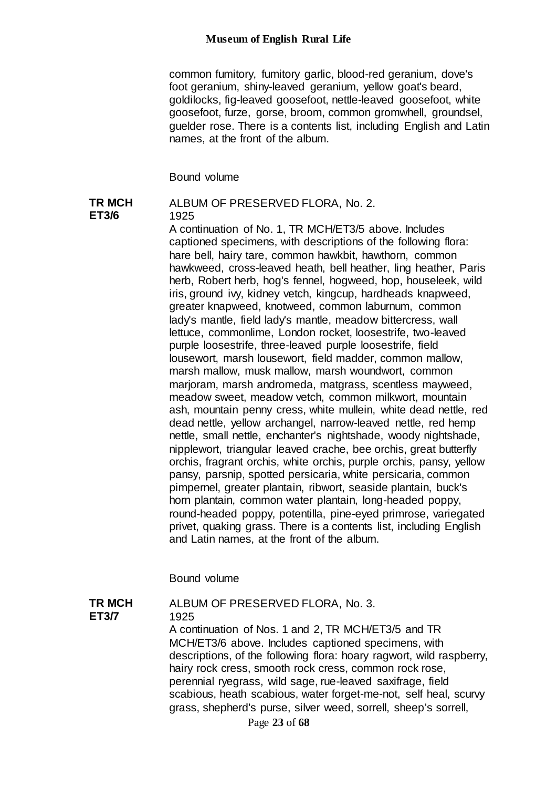common fumitory, fumitory garlic, blood-red geranium, dove's foot geranium, shiny-leaved geranium, yellow goat's beard, goldilocks, fig-leaved goosefoot, nettle-leaved goosefoot, white goosefoot, furze, gorse, broom, common gromwhell, groundsel, guelder rose. There is a contents list, including English and Latin names, at the front of the album.

Bound volume

#### **TR MCH ET3/6** ALBUM OF PRESERVED FLORA, No. 2.

1925

A continuation of No. 1, TR MCH/ET3/5 above. Includes captioned specimens, with descriptions of the following flora: hare bell, hairy tare, common hawkbit, hawthorn, common hawkweed, cross-leaved heath, bell heather, ling heather, Paris herb, Robert herb, hog's fennel, hogweed, hop, houseleek, wild iris, ground ivy, kidney vetch, kingcup, hardheads knapweed, greater knapweed, knotweed, common laburnum, common lady's mantle, field lady's mantle, meadow bittercress, wall lettuce, commonlime, London rocket, loosestrife, two-leaved purple loosestrife, three-leaved purple loosestrife, field lousewort, marsh lousewort, field madder, common mallow, marsh mallow, musk mallow, marsh woundwort, common marjoram, marsh andromeda, matgrass, scentless mayweed, meadow sweet, meadow vetch, common milkwort, mountain ash, mountain penny cress, white mullein, white dead nettle, red dead nettle, yellow archangel, narrow-leaved nettle, red hemp nettle, small nettle, enchanter's nightshade, woody nightshade, nipplewort, triangular leaved crache, bee orchis, great butterfly orchis, fragrant orchis, white orchis, purple orchis, pansy, yellow pansy, parsnip, spotted persicaria, white persicaria, common pimpernel, greater plantain, ribwort, seaside plantain, buck's horn plantain, common water plantain, long-headed poppy, round-headed poppy, potentilla, pine-eyed primrose, variegated privet, quaking grass. There is a contents list, including English and Latin names, at the front of the album.

Bound volume

**TR MCH ET3/7** ALBUM OF PRESERVED FLORA, No. 3. 1925 A continuation of Nos. 1 and 2, TR MCH/ET3/5 and TR MCH/ET3/6 above. Includes captioned specimens, with descriptions, of the following flora: hoary ragwort, wild raspberry, hairy rock cress, smooth rock cress, common rock rose, perennial ryegrass, wild sage, rue-leaved saxifrage, field scabious, heath scabious, water forget-me-not, self heal, scurvy grass, shepherd's purse, silver weed, sorrell, sheep's sorrell,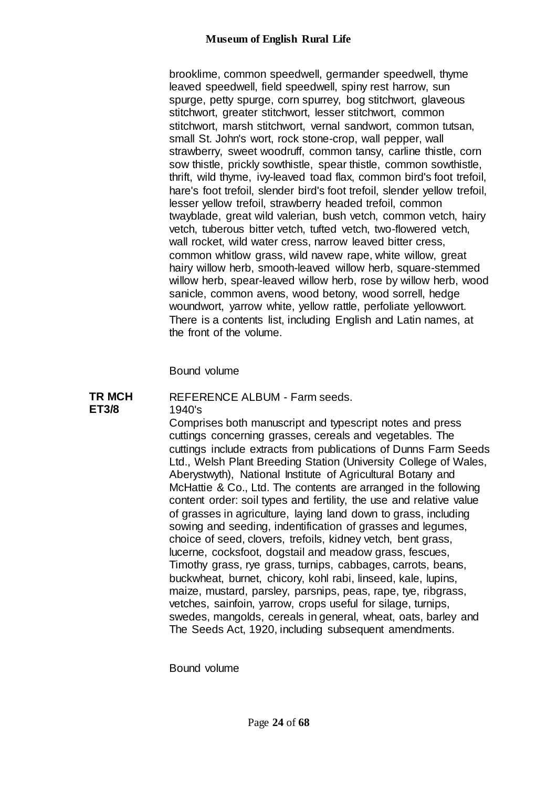brooklime, common speedwell, germander speedwell, thyme leaved speedwell, field speedwell, spiny rest harrow, sun spurge, petty spurge, corn spurrey, bog stitchwort, glaveous stitchwort, greater stitchwort, lesser stitchwort, common stitchwort, marsh stitchwort, vernal sandwort, common tutsan, small St. John's wort, rock stone-crop, wall pepper, wall strawberry, sweet woodruff, common tansy, carline thistle, corn sow thistle, prickly sowthistle, spear thistle, common sowthistle, thrift, wild thyme, ivy-leaved toad flax, common bird's foot trefoil, hare's foot trefoil, slender bird's foot trefoil, slender yellow trefoil, lesser yellow trefoil, strawberry headed trefoil, common twayblade, great wild valerian, bush vetch, common vetch, hairy vetch, tuberous bitter vetch, tufted vetch, two-flowered vetch, wall rocket, wild water cress, narrow leaved bitter cress, common whitlow grass, wild navew rape, white willow, great hairy willow herb, smooth-leaved willow herb, square-stemmed willow herb, spear-leaved willow herb, rose by willow herb, wood sanicle, common avens, wood betony, wood sorrell, hedge woundwort, yarrow white, yellow rattle, perfoliate yellowwort. There is a contents list, including English and Latin names, at the front of the volume.

Bound volume

#### **TR MCH ET3/8** REFERENCE ALBUM - Farm seeds. 1940's

Comprises both manuscript and typescript notes and press cuttings concerning grasses, cereals and vegetables. The cuttings include extracts from publications of Dunns Farm Seeds Ltd., Welsh Plant Breeding Station (University College of Wales, Aberystwyth), National Institute of Agricultural Botany and McHattie & Co., Ltd. The contents are arranged in the following content order: soil types and fertility, the use and relative value of grasses in agriculture, laying land down to grass, including sowing and seeding, indentification of grasses and legumes, choice of seed, clovers, trefoils, kidney vetch, bent grass, lucerne, cocksfoot, dogstail and meadow grass, fescues, Timothy grass, rye grass, turnips, cabbages, carrots, beans, buckwheat, burnet, chicory, kohl rabi, linseed, kale, lupins, maize, mustard, parsley, parsnips, peas, rape, tye, ribgrass, vetches, sainfoin, yarrow, crops useful for silage, turnips, swedes, mangolds, cereals in general, wheat, oats, barley and The Seeds Act, 1920, including subsequent amendments.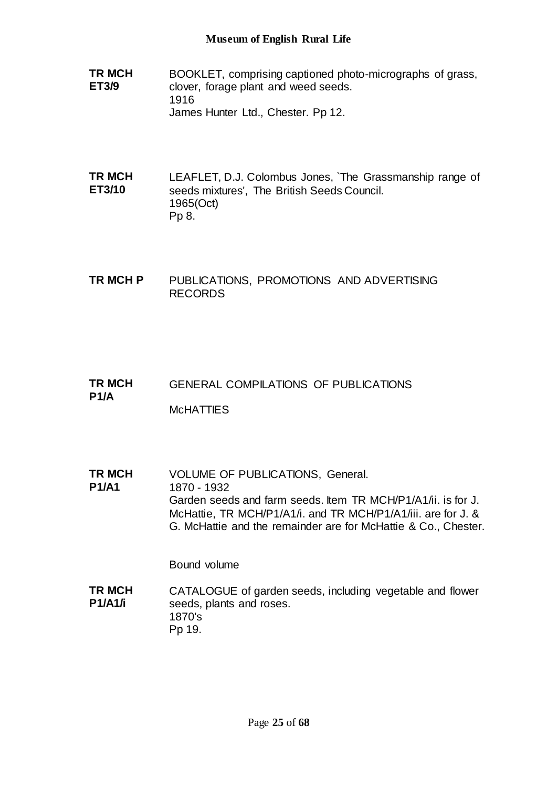- **TR MCH ET3/9** BOOKLET, comprising captioned photo-micrographs of grass, clover, forage plant and weed seeds. 1916 James Hunter Ltd., Chester. Pp 12.
- **TR MCH ET3/10** LEAFLET, D.J. Colombus Jones, `The Grassmanship range of seeds mixtures', The British Seeds Council. 1965(Oct) Pp 8.
- **TR MCH P** PUBLICATIONS, PROMOTIONS AND ADVERTISING RECORDS
- **TR MCH P1/A** GENERAL COMPILATIONS OF PUBLICATIONS **McHATTIES**
- **TR MCH P1/A1** VOLUME OF PUBLICATIONS, General. 1870 - 1932 Garden seeds and farm seeds. Item TR MCH/P1/A1/ii. is for J. McHattie, TR MCH/P1/A1/i. and TR MCH/P1/A1/iii. are for J. & G. McHattie and the remainder are for McHattie & Co., Chester.

Bound volume

**TR MCH P1/A1/i** CATALOGUE of garden seeds, including vegetable and flower seeds, plants and roses. 1870's Pp 19.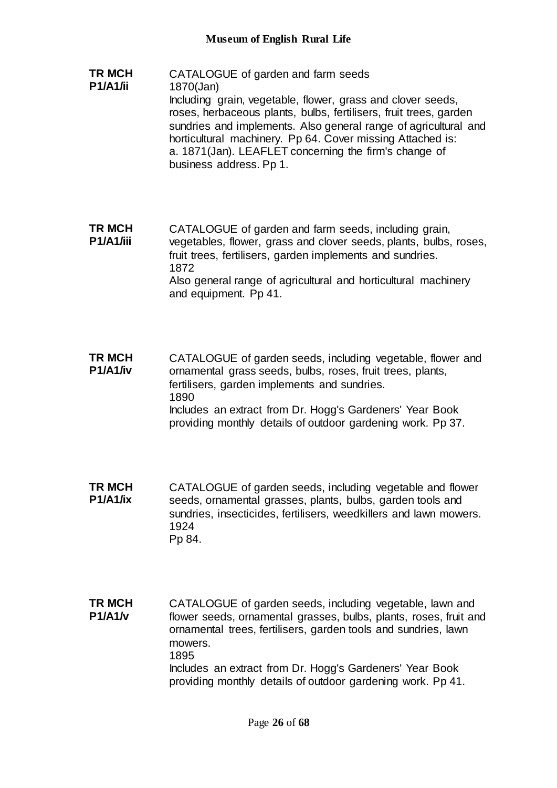**TR MCH P1/A1/ii** CATALOGUE of garden and farm seeds 1870(Jan) Including grain, vegetable, flower, grass and clover seeds, roses, herbaceous plants, bulbs, fertilisers, fruit trees, garden sundries and implements. Also general range of agricultural and horticultural machinery. Pp 64. Cover missing Attached is: a. 1871(Jan). LEAFLET concerning the firm's change of business address. Pp 1.

**TR MCH P1/A1/iii** CATALOGUE of garden and farm seeds, including grain, vegetables, flower, grass and clover seeds, plants, bulbs, roses, fruit trees, fertilisers, garden implements and sundries. 1872 Also general range of agricultural and horticultural machinery and equipment. Pp 41.

**TR MCH P1/A1/iv** CATALOGUE of garden seeds, including vegetable, flower and ornamental grass seeds, bulbs, roses, fruit trees, plants, fertilisers, garden implements and sundries. 1890 Includes an extract from Dr. Hogg's Gardeners' Year Book providing monthly details of outdoor gardening work. Pp 37.

**TR MCH P1/A1/ix** CATALOGUE of garden seeds, including vegetable and flower seeds, ornamental grasses, plants, bulbs, garden tools and sundries, insecticides, fertilisers, weedkillers and lawn mowers. 1924 Pp 84.

**TR MCH P1/A1/v** CATALOGUE of garden seeds, including vegetable, lawn and flower seeds, ornamental grasses, bulbs, plants, roses, fruit and ornamental trees, fertilisers, garden tools and sundries, lawn mowers. 1895 Includes an extract from Dr. Hogg's Gardeners' Year Book providing monthly details of outdoor gardening work. Pp 41.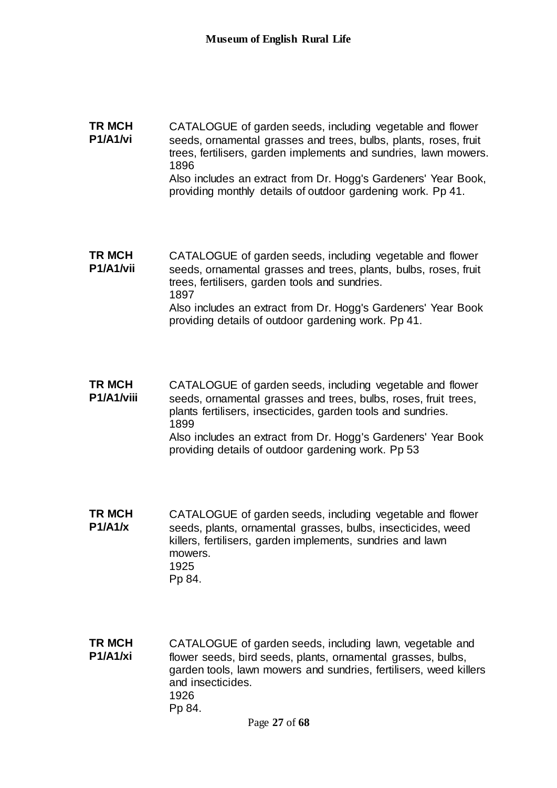### **TR MCH P1/A1/vi** CATALOGUE of garden seeds, including vegetable and flower seeds, ornamental grasses and trees, bulbs, plants, roses, fruit trees, fertilisers, garden implements and sundries, lawn mowers. 1896 Also includes an extract from Dr. Hogg's Gardeners' Year Book, providing monthly details of outdoor gardening work. Pp 41.

**TR MCH P1/A1/vii** CATALOGUE of garden seeds, including vegetable and flower seeds, ornamental grasses and trees, plants, bulbs, roses, fruit trees, fertilisers, garden tools and sundries. 1897 Also includes an extract from Dr. Hogg's Gardeners' Year Book providing details of outdoor gardening work. Pp 41.

- **TR MCH P1/A1/viii** CATALOGUE of garden seeds, including vegetable and flower seeds, ornamental grasses and trees, bulbs, roses, fruit trees, plants fertilisers, insecticides, garden tools and sundries. 1899 Also includes an extract from Dr. Hogg's Gardeners' Year Book providing details of outdoor gardening work. Pp 53
- **TR MCH P1/A1/x** CATALOGUE of garden seeds, including vegetable and flower seeds, plants, ornamental grasses, bulbs, insecticides, weed killers, fertilisers, garden implements, sundries and lawn mowers. 1925 Pp 84.
- **TR MCH P1/A1/xi** CATALOGUE of garden seeds, including lawn, vegetable and flower seeds, bird seeds, plants, ornamental grasses, bulbs, garden tools, lawn mowers and sundries, fertilisers, weed killers and insecticides. 1926 Pp 84.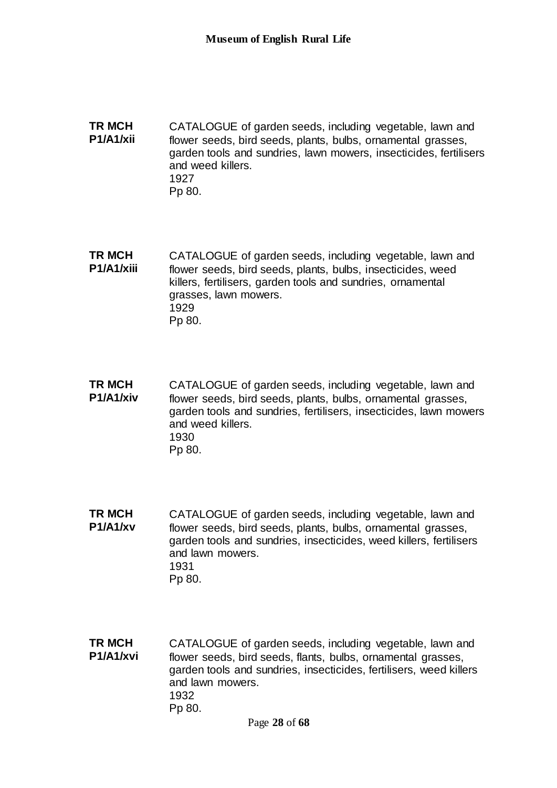**TR MCH P1/A1/xii** CATALOGUE of garden seeds, including vegetable, lawn and flower seeds, bird seeds, plants, bulbs, ornamental grasses, garden tools and sundries, lawn mowers, insecticides, fertilisers and weed killers. 1927 Pp 80.

**TR MCH P1/A1/xiii** CATALOGUE of garden seeds, including vegetable, lawn and flower seeds, bird seeds, plants, bulbs, insecticides, weed killers, fertilisers, garden tools and sundries, ornamental grasses, lawn mowers. 1929 Pp 80.

- **TR MCH P1/A1/xiv** CATALOGUE of garden seeds, including vegetable, lawn and flower seeds, bird seeds, plants, bulbs, ornamental grasses, garden tools and sundries, fertilisers, insecticides, lawn mowers and weed killers. 1930 Pp 80.
- **TR MCH P1/A1/xv** CATALOGUE of garden seeds, including vegetable, lawn and flower seeds, bird seeds, plants, bulbs, ornamental grasses, garden tools and sundries, insecticides, weed killers, fertilisers and lawn mowers. 1931 Pp 80.
- **TR MCH P1/A1/xvi** CATALOGUE of garden seeds, including vegetable, lawn and flower seeds, bird seeds, flants, bulbs, ornamental grasses, garden tools and sundries, insecticides, fertilisers, weed killers and lawn mowers. 1932 Pp 80.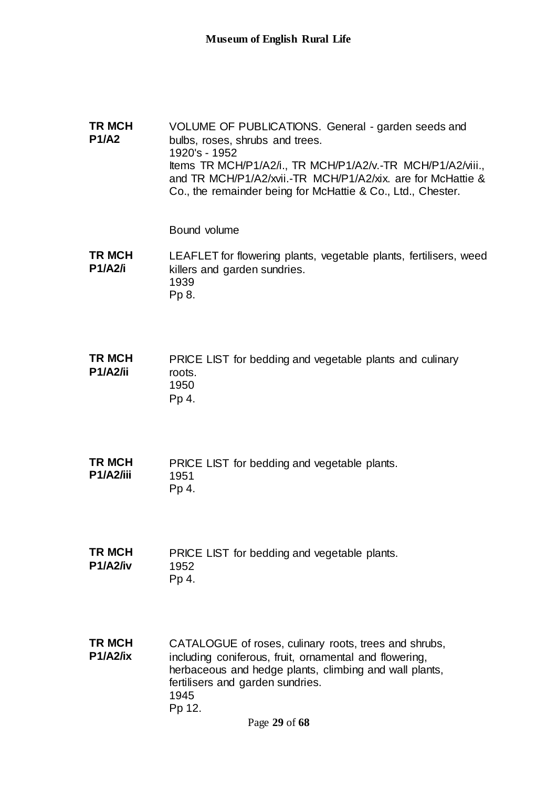**TR MCH P1/A2** VOLUME OF PUBLICATIONS. General - garden seeds and bulbs, roses, shrubs and trees. 1920's - 1952 Items TR MCH/P1/A2/i., TR MCH/P1/A2/v.-TR MCH/P1/A2/viii., and TR MCH/P1/A2/xvii.-TR MCH/P1/A2/xix. are for McHattie & Co., the remainder being for McHattie & Co., Ltd., Chester.

Bound volume

**TR MCH P1/A2/i** LEAFLET for flowering plants, vegetable plants, fertilisers, weed killers and garden sundries. 1939 Pp 8.

**TR MCH P1/A2/ii** PRICE LIST for bedding and vegetable plants and culinary roots. 1950 Pp 4.

**TR MCH P1/A2/iii** PRICE LIST for bedding and vegetable plants. 1951 Pp 4.

**TR MCH P1/A2/iv** PRICE LIST for bedding and vegetable plants. 1952 Pp 4.

**TR MCH P1/A2/ix** CATALOGUE of roses, culinary roots, trees and shrubs, including coniferous, fruit, ornamental and flowering, herbaceous and hedge plants, climbing and wall plants, fertilisers and garden sundries. 1945 Pp 12.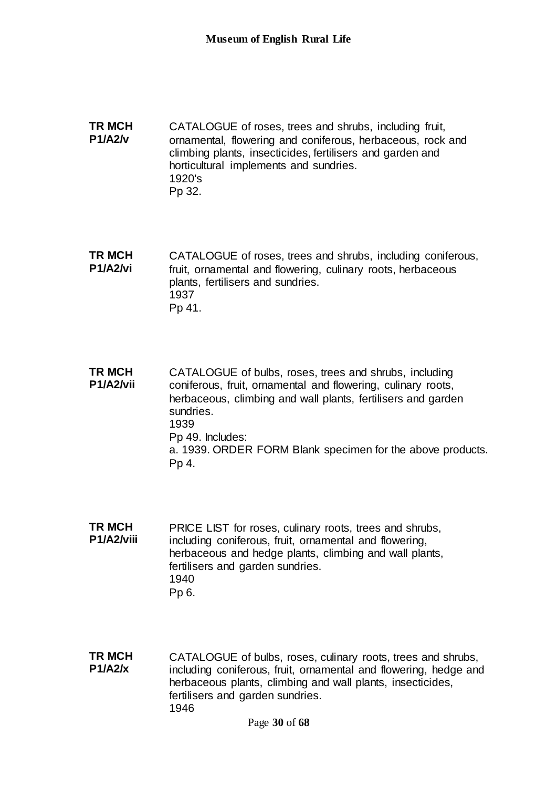**TR MCH P1/A2/v** CATALOGUE of roses, trees and shrubs, including fruit, ornamental, flowering and coniferous, herbaceous, rock and climbing plants, insecticides, fertilisers and garden and horticultural implements and sundries. 1920's Pp 32.

**TR MCH P1/A2/vi** CATALOGUE of roses, trees and shrubs, including coniferous, fruit, ornamental and flowering, culinary roots, herbaceous plants, fertilisers and sundries. 1937 Pp 41.

**TR MCH P1/A2/vii** CATALOGUE of bulbs, roses, trees and shrubs, including coniferous, fruit, ornamental and flowering, culinary roots, herbaceous, climbing and wall plants, fertilisers and garden sundries. 1939 Pp 49. Includes: a. 1939. ORDER FORM Blank specimen for the above products. Pp 4.

- **TR MCH P1/A2/viii** PRICE LIST for roses, culinary roots, trees and shrubs, including coniferous, fruit, ornamental and flowering, herbaceous and hedge plants, climbing and wall plants, fertilisers and garden sundries. 1940 Pp 6.
- **TR MCH P1/A2/x** CATALOGUE of bulbs, roses, culinary roots, trees and shrubs, including coniferous, fruit, ornamental and flowering, hedge and herbaceous plants, climbing and wall plants, insecticides, fertilisers and garden sundries. 1946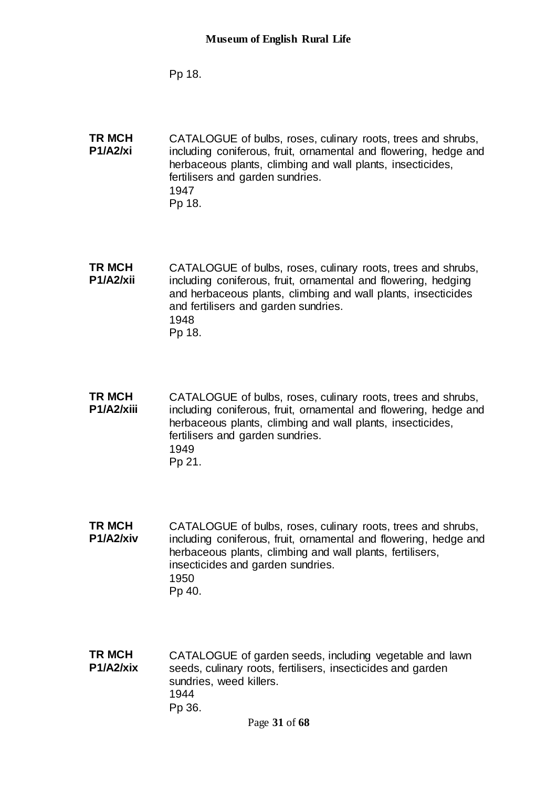Pp 18.

**TR MCH P1/A2/xi** CATALOGUE of bulbs, roses, culinary roots, trees and shrubs, including coniferous, fruit, ornamental and flowering, hedge and herbaceous plants, climbing and wall plants, insecticides, fertilisers and garden sundries. 1947 Pp 18.

**TR MCH P1/A2/xii** CATALOGUE of bulbs, roses, culinary roots, trees and shrubs, including coniferous, fruit, ornamental and flowering, hedging and herbaceous plants, climbing and wall plants, insecticides and fertilisers and garden sundries. 1948 Pp 18.

**TR MCH P1/A2/xiii** CATALOGUE of bulbs, roses, culinary roots, trees and shrubs, including coniferous, fruit, ornamental and flowering, hedge and herbaceous plants, climbing and wall plants, insecticides, fertilisers and garden sundries. 1949 Pp 21.

**TR MCH P1/A2/xiv** CATALOGUE of bulbs, roses, culinary roots, trees and shrubs, including coniferous, fruit, ornamental and flowering, hedge and herbaceous plants, climbing and wall plants, fertilisers, insecticides and garden sundries. 1950 Pp 40.

**TR MCH P1/A2/xix** CATALOGUE of garden seeds, including vegetable and lawn seeds, culinary roots, fertilisers, insecticides and garden sundries, weed killers. 1944 Pp 36.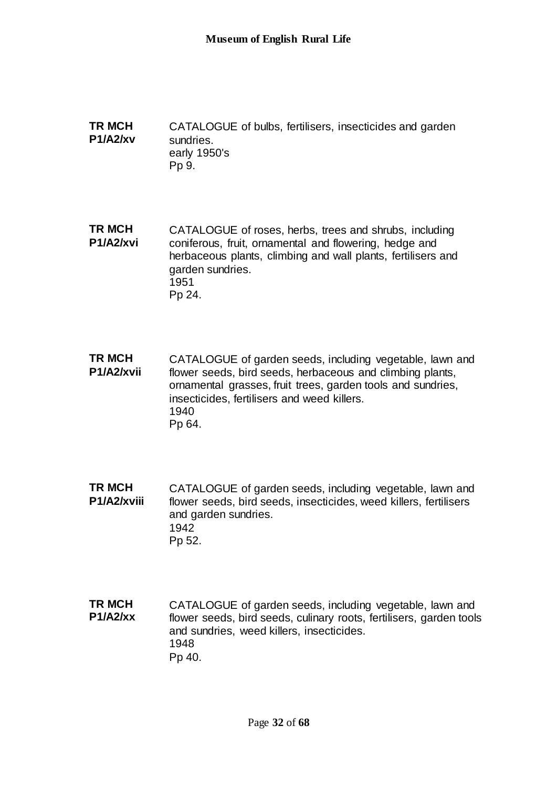**TR MCH P1/A2/xv** CATALOGUE of bulbs, fertilisers, insecticides and garden sundries. early 1950's Pp 9.

**TR MCH P1/A2/xvi** CATALOGUE of roses, herbs, trees and shrubs, including coniferous, fruit, ornamental and flowering, hedge and herbaceous plants, climbing and wall plants, fertilisers and garden sundries. 1951 Pp 24.

**TR MCH P1/A2/xvii** CATALOGUE of garden seeds, including vegetable, lawn and flower seeds, bird seeds, herbaceous and climbing plants, ornamental grasses, fruit trees, garden tools and sundries, insecticides, fertilisers and weed killers. 1940 Pp 64.

**TR MCH P1/A2/xviii** CATALOGUE of garden seeds, including vegetable, lawn and flower seeds, bird seeds, insecticides, weed killers, fertilisers and garden sundries. 1942 Pp 52.

**TR MCH P1/A2/xx** CATALOGUE of garden seeds, including vegetable, lawn and flower seeds, bird seeds, culinary roots, fertilisers, garden tools and sundries, weed killers, insecticides. 1948 Pp 40.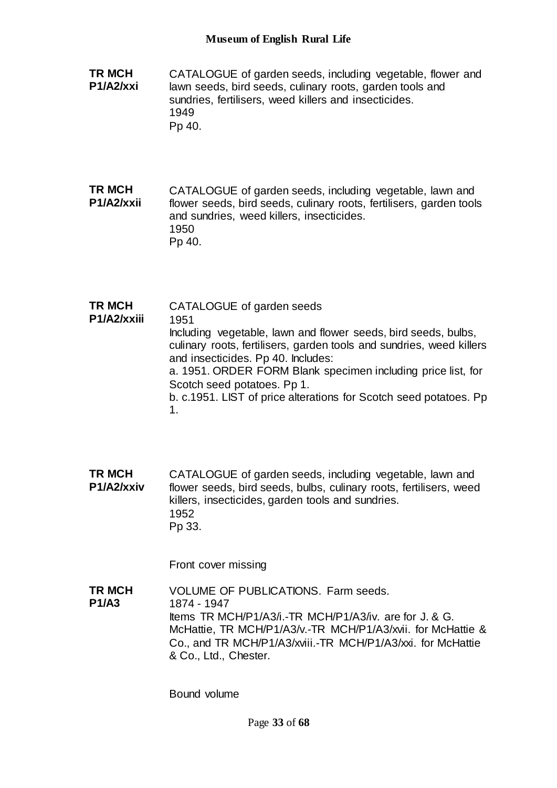**TR MCH P1/A2/xxi** CATALOGUE of garden seeds, including vegetable, flower and lawn seeds, bird seeds, culinary roots, garden tools and sundries, fertilisers, weed killers and insecticides. 1949 Pp 40.

**TR MCH P1/A2/xxii** CATALOGUE of garden seeds, including vegetable, lawn and flower seeds, bird seeds, culinary roots, fertilisers, garden tools and sundries, weed killers, insecticides. 1950 Pp 40.

**TR MCH P1/A2/xxiii** CATALOGUE of garden seeds 1951 Including vegetable, lawn and flower seeds, bird seeds, bulbs, culinary roots, fertilisers, garden tools and sundries, weed killers and insecticides. Pp 40. Includes: a. 1951. ORDER FORM Blank specimen including price list, for Scotch seed potatoes. Pp 1. b. c.1951. LIST of price alterations for Scotch seed potatoes. Pp 1.

**TR MCH P1/A2/xxiv** CATALOGUE of garden seeds, including vegetable, lawn and flower seeds, bird seeds, bulbs, culinary roots, fertilisers, weed killers, insecticides, garden tools and sundries. 1952 Pp 33.

Front cover missing

**TR MCH P1/A3** VOLUME OF PUBLICATIONS. Farm seeds. 1874 - 1947 Items TR MCH/P1/A3/i.-TR MCH/P1/A3/iv. are for J. & G. McHattie, TR MCH/P1/A3/v.-TR MCH/P1/A3/xvii. for McHattie & Co., and TR MCH/P1/A3/xviii.-TR MCH/P1/A3/xxi. for McHattie & Co., Ltd., Chester.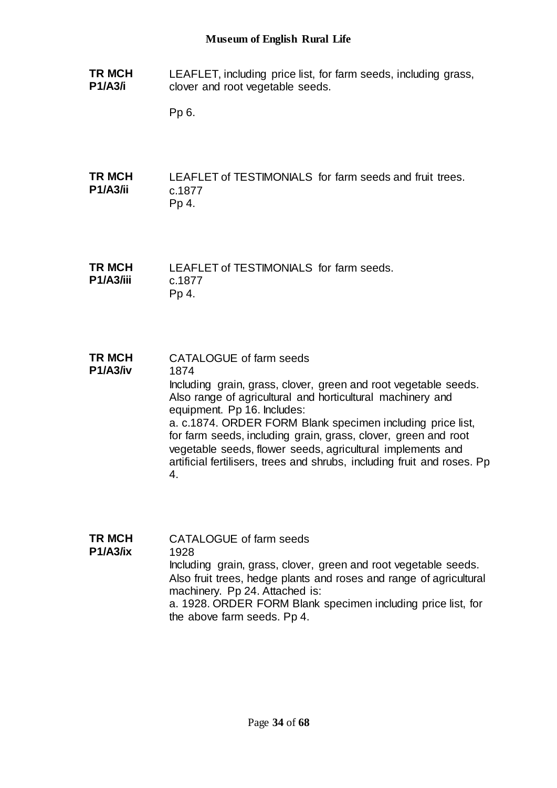**TR MCH P1/A3/i** LEAFLET, including price list, for farm seeds, including grass, clover and root vegetable seeds.

Pp 6.

**TR MCH P1/A3/ii** LEAFLET of TESTIMONIALS for farm seeds and fruit trees. c.1877 Pp 4.

**TR MCH P1/A3/iii** LEAFLET of TESTIMONIALS for farm seeds. c.1877 Pp 4.

**TR MCH P1/A3/iv** CATALOGUE of farm seeds 1874 Including grain, grass, clover, green and root vegetable seeds. Also range of agricultural and horticultural machinery and equipment. Pp 16. Includes: a. c.1874. ORDER FORM Blank specimen including price list, for farm seeds, including grain, grass, clover, green and root vegetable seeds, flower seeds, agricultural implements and artificial fertilisers, trees and shrubs, including fruit and roses. Pp 4.

**TR MCH P1/A3/ix** CATALOGUE of farm seeds 1928 Including grain, grass, clover, green and root vegetable seeds. Also fruit trees, hedge plants and roses and range of agricultural machinery. Pp 24. Attached is: a. 1928. ORDER FORM Blank specimen including price list, for the above farm seeds. Pp 4.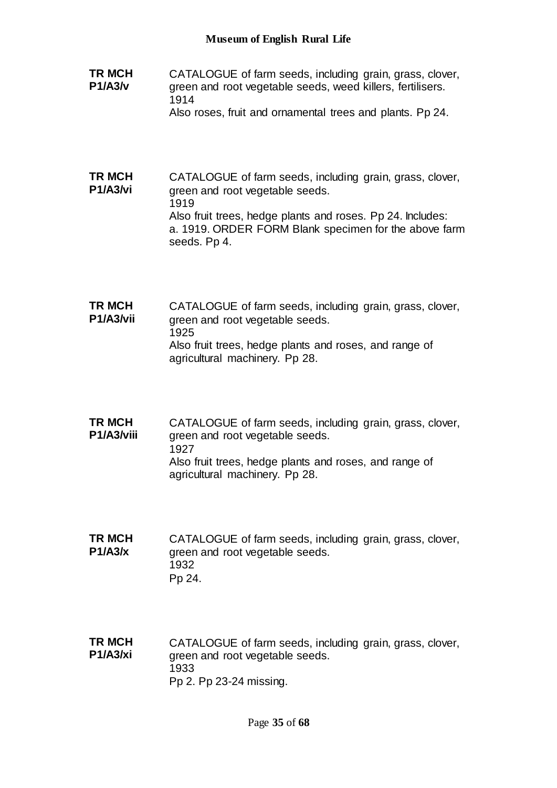- **TR MCH P1/A3/v** CATALOGUE of farm seeds, including grain, grass, clover, green and root vegetable seeds, weed killers, fertilisers. 1914
	- Also roses, fruit and ornamental trees and plants. Pp 24.
- **TR MCH P1/A3/vi** CATALOGUE of farm seeds, including grain, grass, clover, green and root vegetable seeds. 1919 Also fruit trees, hedge plants and roses. Pp 24. Includes: a. 1919. ORDER FORM Blank specimen for the above farm seeds. Pp 4.
- **TR MCH P1/A3/vii** CATALOGUE of farm seeds, including grain, grass, clover, green and root vegetable seeds. 1925 Also fruit trees, hedge plants and roses, and range of agricultural machinery. Pp 28.
- **TR MCH P1/A3/viii** CATALOGUE of farm seeds, including grain, grass, clover, green and root vegetable seeds. 1927 Also fruit trees, hedge plants and roses, and range of agricultural machinery. Pp 28.
- **TR MCH P1/A3/x** CATALOGUE of farm seeds, including grain, grass, clover, green and root vegetable seeds. 1932 Pp 24.
- **TR MCH P1/A3/xi** CATALOGUE of farm seeds, including grain, grass, clover, green and root vegetable seeds. 1933 Pp 2. Pp 23-24 missing.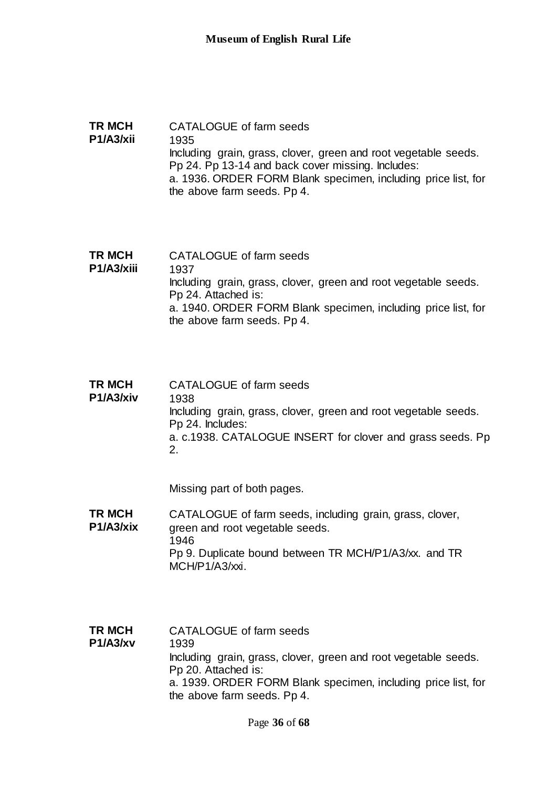### **TR MCH P1/A3/xii** CATALOGUE of farm seeds 1935 Including grain, grass, clover, green and root vegetable seeds. Pp 24. Pp 13-14 and back cover missing. Includes: a. 1936. ORDER FORM Blank specimen, including price list, for the above farm seeds. Pp 4.

- **TR MCH P1/A3/xiii** CATALOGUE of farm seeds 1937 Including grain, grass, clover, green and root vegetable seeds. Pp 24. Attached is: a. 1940. ORDER FORM Blank specimen, including price list, for the above farm seeds. Pp 4.
- **TR MCH P1/A3/xiv** CATALOGUE of farm seeds 1938 Including grain, grass, clover, green and root vegetable seeds. Pp 24. Includes: a. c.1938. CATALOGUE INSERT for clover and grass seeds. Pp 2.

Missing part of both pages.

- **TR MCH P1/A3/xix** CATALOGUE of farm seeds, including grain, grass, clover, green and root vegetable seeds. 1946 Pp 9. Duplicate bound between TR MCH/P1/A3/xx. and TR MCH/P1/A3/xxi.
- **TR MCH P1/A3/xv** CATALOGUE of farm seeds 1939 Including grain, grass, clover, green and root vegetable seeds. Pp 20. Attached is: a. 1939. ORDER FORM Blank specimen, including price list, for the above farm seeds. Pp 4.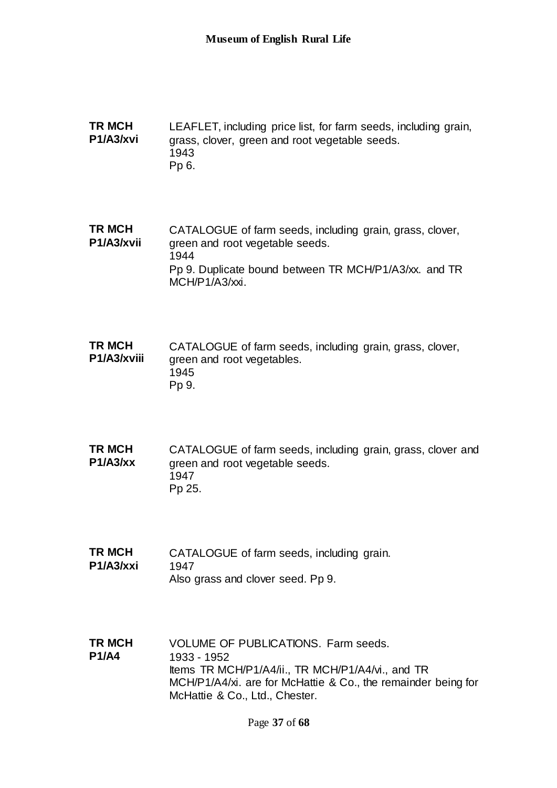**TR MCH P1/A3/xvi** LEAFLET, including price list, for farm seeds, including grain, grass, clover, green and root vegetable seeds. 1943 Pp 6.

**TR MCH P1/A3/xvii** CATALOGUE of farm seeds, including grain, grass, clover, green and root vegetable seeds. 1944 Pp 9. Duplicate bound between TR MCH/P1/A3/xx. and TR MCH/P1/A3/xxi.

**TR MCH P1/A3/xviii** CATALOGUE of farm seeds, including grain, grass, clover, green and root vegetables. 1945 Pp 9.

**TR MCH P1/A3/xx** CATALOGUE of farm seeds, including grain, grass, clover and green and root vegetable seeds. 1947 Pp 25.

**TR MCH P1/A3/xxi** CATALOGUE of farm seeds, including grain. 1947 Also grass and clover seed. Pp 9.

**TR MCH P1/A4** VOLUME OF PUBLICATIONS. Farm seeds. 1933 - 1952 Items TR MCH/P1/A4/ii., TR MCH/P1/A4/vi., and TR MCH/P1/A4/xi. are for McHattie & Co., the remainder being for McHattie & Co., Ltd., Chester.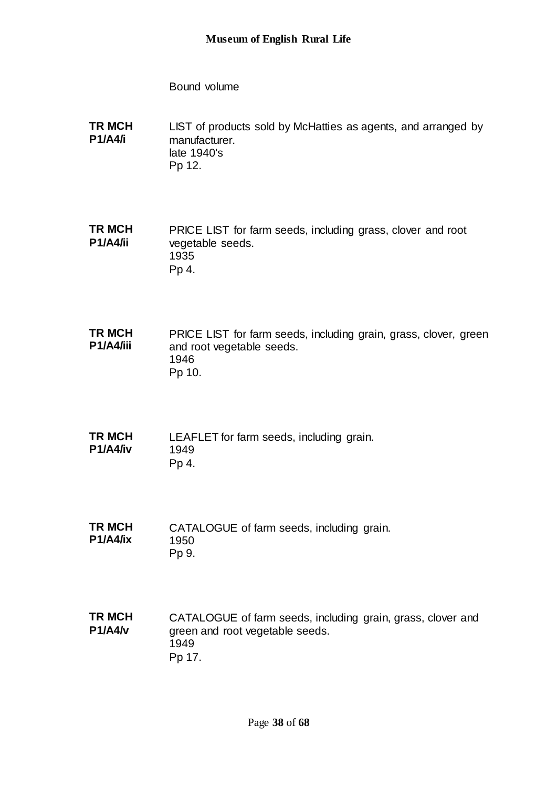Bound volume

**TR MCH P1/A4/i** LIST of products sold by McHatties as agents, and arranged by manufacturer. late 1940's Pp 12.

**TR MCH P1/A4/ii** PRICE LIST for farm seeds, including grass, clover and root vegetable seeds. 1935 Pp 4.

**TR MCH P1/A4/iii** PRICE LIST for farm seeds, including grain, grass, clover, green and root vegetable seeds. 1946 Pp 10.

**TR MCH P1/A4/iv** LEAFLET for farm seeds, including grain. 1949 Pp 4.

**TR MCH P1/A4/ix** CATALOGUE of farm seeds, including grain. 1950 Pp 9.

**TR MCH P1/A4/v** CATALOGUE of farm seeds, including grain, grass, clover and green and root vegetable seeds. 1949 Pp 17.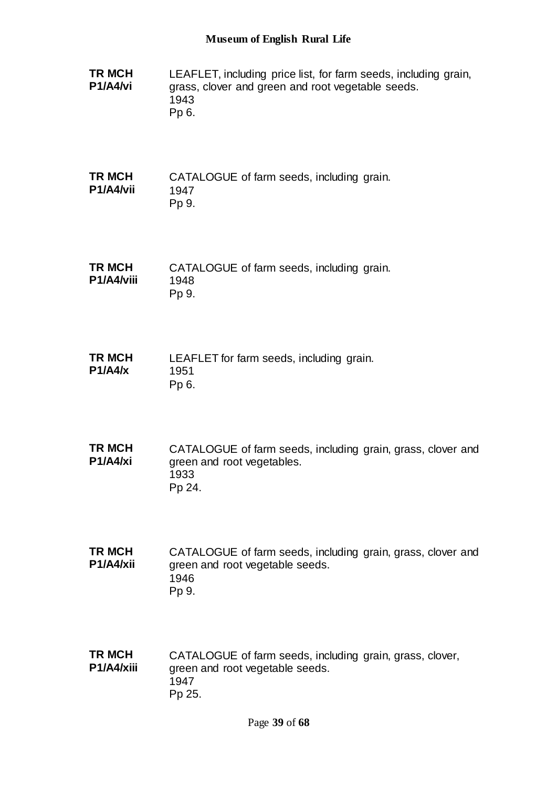**TR MCH P1/A4/vi** LEAFLET, including price list, for farm seeds, including grain, grass, clover and green and root vegetable seeds. 1943 Pp 6. **TR MCH P1/A4/vii** CATALOGUE of farm seeds, including grain. 1947 Pp 9. **TR MCH P1/A4/viii** CATALOGUE of farm seeds, including grain. 1948 Pp 9. **TR MCH P1/A4/x** LEAFLET for farm seeds, including grain. 1951 Pp 6. **TR MCH P1/A4/xi** CATALOGUE of farm seeds, including grain, grass, clover and green and root vegetables. 1933 Pp 24. **TR MCH P1/A4/xii** CATALOGUE of farm seeds, including grain, grass, clover and green and root vegetable seeds. 1946 Pp 9. **TR MCH P1/A4/xiii** CATALOGUE of farm seeds, including grain, grass, clover, green and root vegetable seeds. 1947 Pp 25.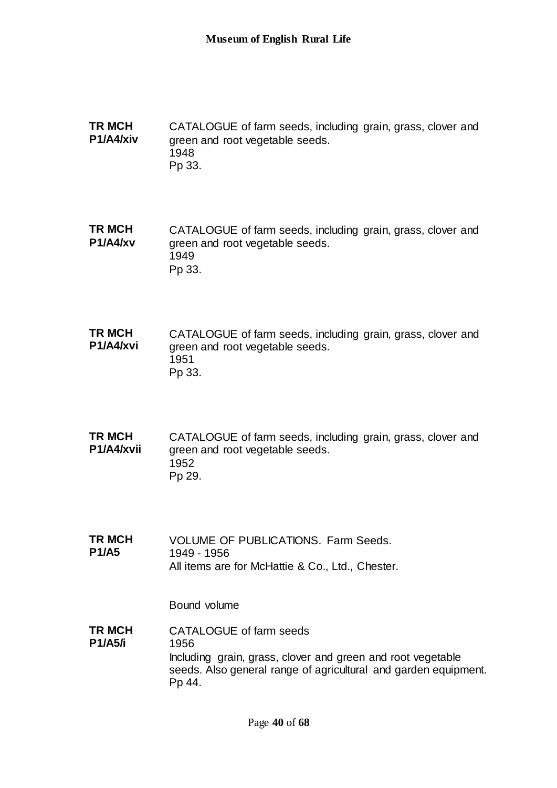**TR MCH P1/A4/xiv** CATALOGUE of farm seeds, including grain, grass, clover and green and root vegetable seeds. 1948 Pp 33.

**TR MCH P1/A4/xv** CATALOGUE of farm seeds, including grain, grass, clover and green and root vegetable seeds. 1949 Pp 33.

**TR MCH P1/A4/xvi** CATALOGUE of farm seeds, including grain, grass, clover and green and root vegetable seeds. 1951 Pp 33.

**TR MCH P1/A4/xvii** CATALOGUE of farm seeds, including grain, grass, clover and green and root vegetable seeds. 1952 Pp 29.

**TR MCH P1/A5** VOLUME OF PUBLICATIONS. Farm Seeds. 1949 - 1956 All items are for McHattie & Co., Ltd., Chester.

Bound volume

**TR MCH P1/A5/i** CATALOGUE of farm seeds 1956 Including grain, grass, clover and green and root vegetable seeds. Also general range of agricultural and garden equipment. Pp 44.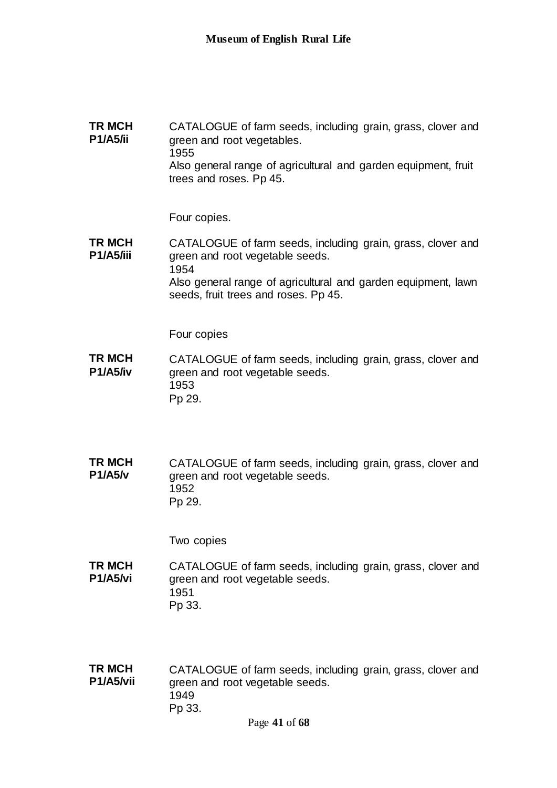**TR MCH P1/A5/ii** CATALOGUE of farm seeds, including grain, grass, clover and green and root vegetables. 1955 Also general range of agricultural and garden equipment, fruit trees and roses. Pp 45.

Four copies.

**TR MCH P1/A5/iii** CATALOGUE of farm seeds, including grain, grass, clover and green and root vegetable seeds. 1954 Also general range of agricultural and garden equipment, lawn seeds, fruit trees and roses. Pp 45.

Four copies

**TR MCH P1/A5/iv** CATALOGUE of farm seeds, including grain, grass, clover and green and root vegetable seeds. 1953 Pp 29.

**TR MCH P1/A5/v** CATALOGUE of farm seeds, including grain, grass, clover and green and root vegetable seeds. 1952 Pp 29.

Two copies

**TR MCH P1/A5/vi** CATALOGUE of farm seeds, including grain, grass, clover and green and root vegetable seeds. 1951 Pp 33.

**TR MCH P1/A5/vii** CATALOGUE of farm seeds, including grain, grass, clover and green and root vegetable seeds. 1949 Pp 33.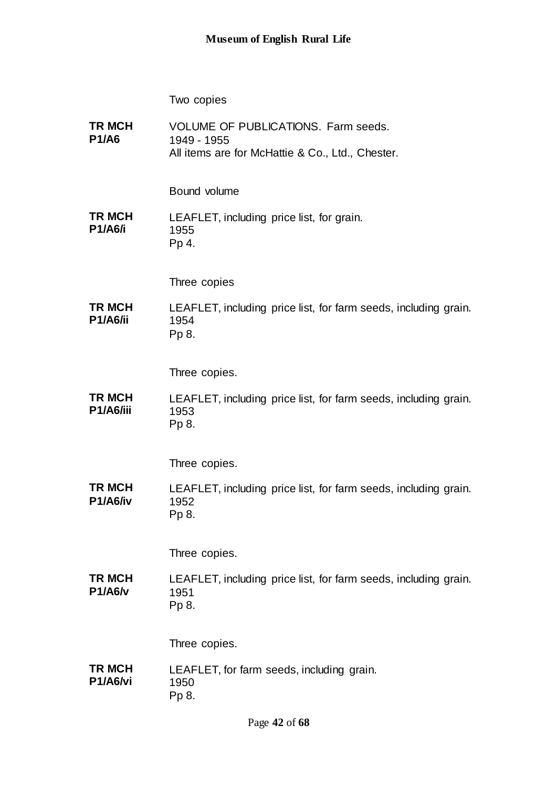Two copies

| TR MCH<br><b>P1/A6</b>    | VOLUME OF PUBLICATIONS. Farm seeds.<br>1949 - 1955<br>All items are for McHattie & Co., Ltd., Chester. |
|---------------------------|--------------------------------------------------------------------------------------------------------|
|                           | Bound volume                                                                                           |
| TR MCH<br><b>P1/A6/i</b>  | LEAFLET, including price list, for grain.<br>1955<br>Pp 4.                                             |
|                           | Three copies                                                                                           |
| TR MCH<br><b>P1/A6/ii</b> | LEAFLET, including price list, for farm seeds, including grain.<br>1954<br>Pp 8.                       |
|                           | Three copies.                                                                                          |
| TR MCH<br>P1/A6/iii       | LEAFLET, including price list, for farm seeds, including grain.<br>1953<br>Pp 8.                       |
|                           | Three copies.                                                                                          |
| TR MCH<br>P1/A6/iv        | LEAFLET, including price list, for farm seeds, including grain.<br>1952<br>Pp 8.                       |
|                           | Three copies.                                                                                          |
| TR MCH<br><b>P1/A6/v</b>  | LEAFLET, including price list, for farm seeds, including grain.<br>1951<br>Pp 8.                       |
|                           | Three copies.                                                                                          |
| TR MCH<br>P1/A6/vi        | LEAFLET, for farm seeds, including grain.<br>1950<br>Pp 8.                                             |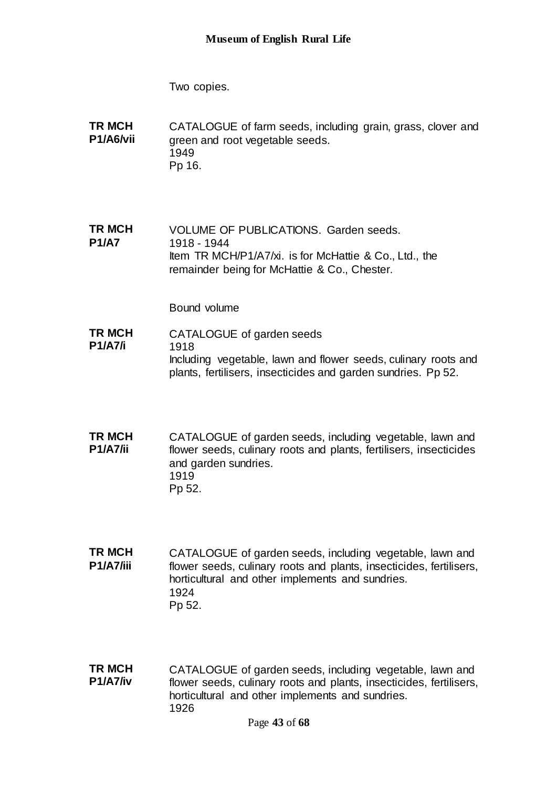Two copies.

**TR MCH P1/A6/vii** CATALOGUE of farm seeds, including grain, grass, clover and green and root vegetable seeds. 1949 Pp 16.

**TR MCH P1/A7** VOLUME OF PUBLICATIONS. Garden seeds. 1918 - 1944 Item TR MCH/P1/A7/xi. is for McHattie & Co., Ltd., the remainder being for McHattie & Co., Chester.

- **TR MCH P1/A7/i** CATALOGUE of garden seeds 1918 Including vegetable, lawn and flower seeds, culinary roots and plants, fertilisers, insecticides and garden sundries. Pp 52.
- **TR MCH P1/A7/ii** CATALOGUE of garden seeds, including vegetable, lawn and flower seeds, culinary roots and plants, fertilisers, insecticides and garden sundries. 1919 Pp 52.
- **TR MCH P1/A7/iii** CATALOGUE of garden seeds, including vegetable, lawn and flower seeds, culinary roots and plants, insecticides, fertilisers, horticultural and other implements and sundries. 1924 Pp 52.
- **TR MCH P1/A7/iv** CATALOGUE of garden seeds, including vegetable, lawn and flower seeds, culinary roots and plants, insecticides, fertilisers, horticultural and other implements and sundries. 1926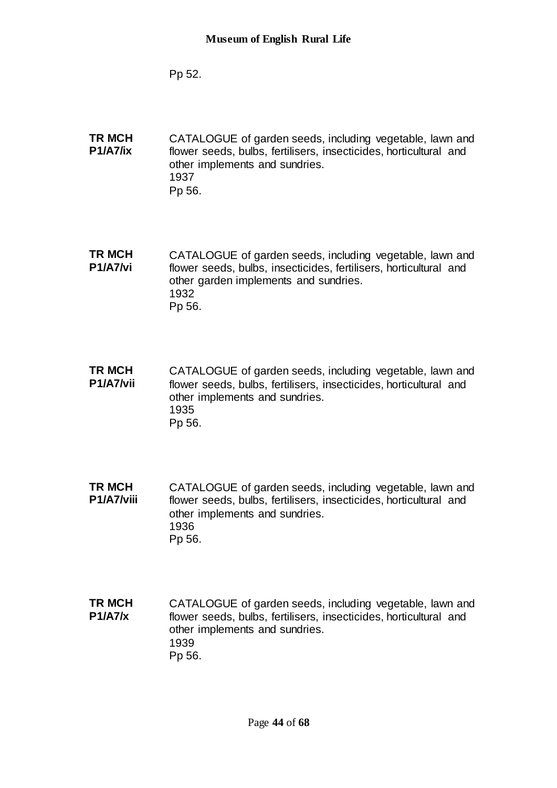Pp 52.

**TR MCH P1/A7/ix** CATALOGUE of garden seeds, including vegetable, lawn and flower seeds, bulbs, fertilisers, insecticides, horticultural and other implements and sundries. 1937 Pp 56.

**TR MCH P1/A7/vi** CATALOGUE of garden seeds, including vegetable, lawn and flower seeds, bulbs, insecticides, fertilisers, horticultural and other garden implements and sundries. 1932 Pp 56.

**TR MCH P1/A7/vii** CATALOGUE of garden seeds, including vegetable, lawn and flower seeds, bulbs, fertilisers, insecticides, horticultural and other implements and sundries. 1935 Pp 56.

- **TR MCH P1/A7/viii** CATALOGUE of garden seeds, including vegetable, lawn and flower seeds, bulbs, fertilisers, insecticides, horticultural and other implements and sundries. 1936 Pp 56.
- **TR MCH P1/A7/x** CATALOGUE of garden seeds, including vegetable, lawn and flower seeds, bulbs, fertilisers, insecticides, horticultural and other implements and sundries. 1939 Pp 56.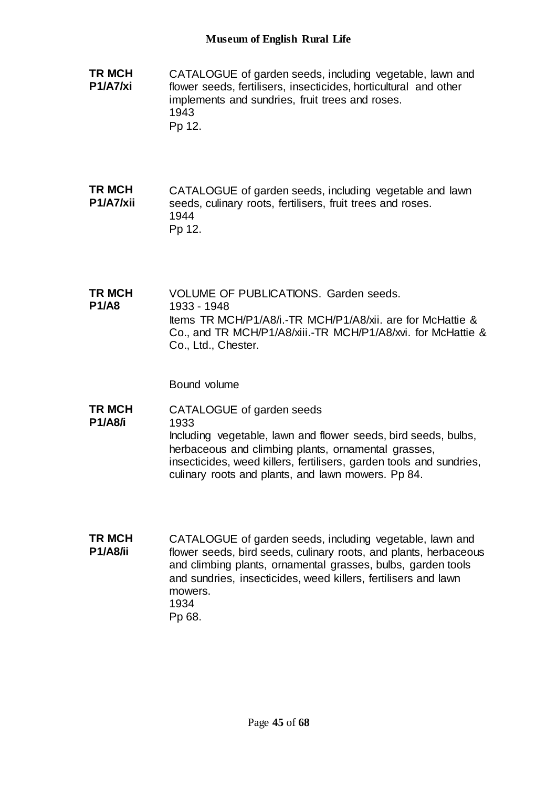- **TR MCH P1/A7/xi** CATALOGUE of garden seeds, including vegetable, lawn and flower seeds, fertilisers, insecticides, horticultural and other implements and sundries, fruit trees and roses. 1943 Pp 12.
- **TR MCH P1/A7/xii** CATALOGUE of garden seeds, including vegetable and lawn seeds, culinary roots, fertilisers, fruit trees and roses. 1944 Pp 12.
- **TR MCH P1/A8** VOLUME OF PUBLICATIONS. Garden seeds. 1933 - 1948 Items TR MCH/P1/A8/i.-TR MCH/P1/A8/xii. are for McHattie & Co., and TR MCH/P1/A8/xiii.-TR MCH/P1/A8/xvi. for McHattie & Co., Ltd., Chester.

- **TR MCH P1/A8/i** CATALOGUE of garden seeds 1933 Including vegetable, lawn and flower seeds, bird seeds, bulbs, herbaceous and climbing plants, ornamental grasses, insecticides, weed killers, fertilisers, garden tools and sundries, culinary roots and plants, and lawn mowers. Pp 84.
- **TR MCH P1/A8/ii** CATALOGUE of garden seeds, including vegetable, lawn and flower seeds, bird seeds, culinary roots, and plants, herbaceous and climbing plants, ornamental grasses, bulbs, garden tools and sundries, insecticides, weed killers, fertilisers and lawn mowers. 1934 Pp 68.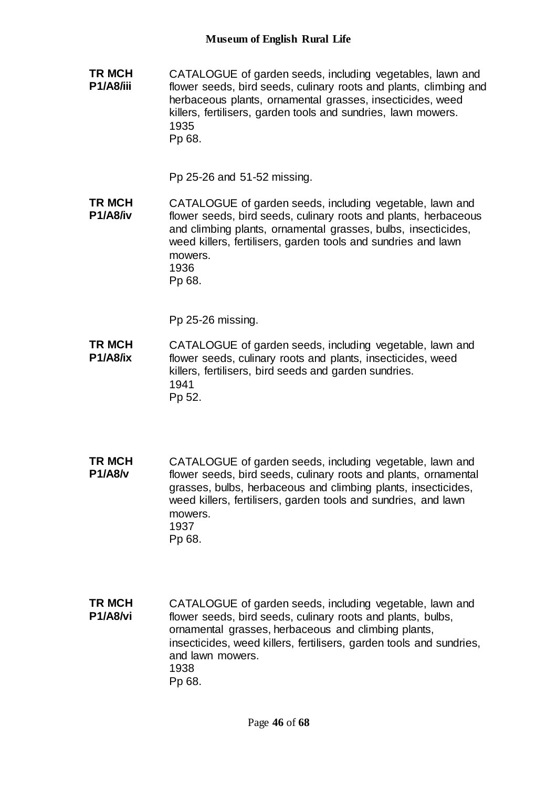**TR MCH P1/A8/iii** CATALOGUE of garden seeds, including vegetables, lawn and flower seeds, bird seeds, culinary roots and plants, climbing and herbaceous plants, ornamental grasses, insecticides, weed killers, fertilisers, garden tools and sundries, lawn mowers. 1935 Pp 68.

Pp 25-26 and 51-52 missing.

**TR MCH P1/A8/iv** CATALOGUE of garden seeds, including vegetable, lawn and flower seeds, bird seeds, culinary roots and plants, herbaceous and climbing plants, ornamental grasses, bulbs, insecticides, weed killers, fertilisers, garden tools and sundries and lawn mowers. 1936 Pp 68.

Pp 25-26 missing.

- **TR MCH P1/A8/ix** CATALOGUE of garden seeds, including vegetable, lawn and flower seeds, culinary roots and plants, insecticides, weed killers, fertilisers, bird seeds and garden sundries. 1941 Pp 52.
- **TR MCH P1/A8/v** CATALOGUE of garden seeds, including vegetable, lawn and flower seeds, bird seeds, culinary roots and plants, ornamental grasses, bulbs, herbaceous and climbing plants, insecticides, weed killers, fertilisers, garden tools and sundries, and lawn mowers. 1937 Pp 68.
- **TR MCH P1/A8/vi** CATALOGUE of garden seeds, including vegetable, lawn and flower seeds, bird seeds, culinary roots and plants, bulbs, ornamental grasses, herbaceous and climbing plants, insecticides, weed killers, fertilisers, garden tools and sundries, and lawn mowers. 1938 Pp 68.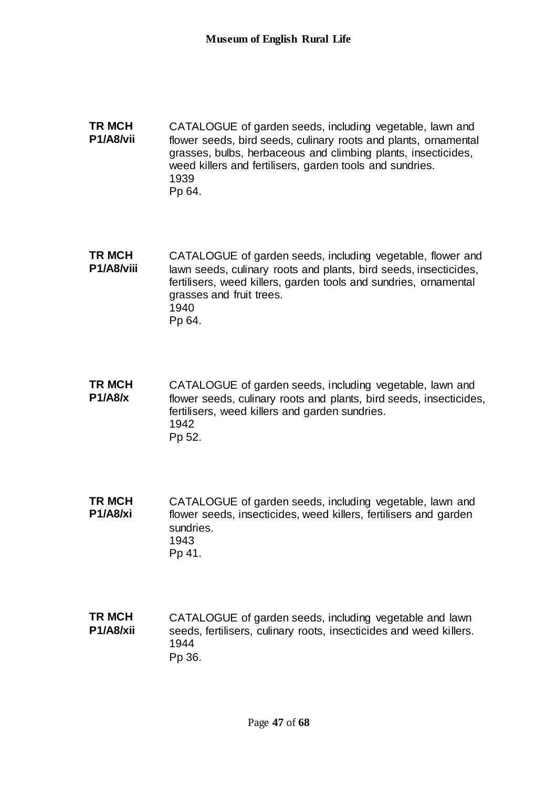**TR MCH P1/A8/vii** CATALOGUE of garden seeds, including vegetable, lawn and flower seeds, bird seeds, culinary roots and plants, ornamental grasses, bulbs, herbaceous and climbing plants, insecticides, weed killers and fertilisers, garden tools and sundries. 1939 Pp 64.

**TR MCH P1/A8/viii** CATALOGUE of garden seeds, including vegetable, flower and lawn seeds, culinary roots and plants, bird seeds, insecticides, fertilisers, weed killers, garden tools and sundries, ornamental grasses and fruit trees. 1940 Pp 64.

**TR MCH P1/A8/x** CATALOGUE of garden seeds, including vegetable, lawn and flower seeds, culinary roots and plants, bird seeds, insecticides, fertilisers, weed killers and garden sundries. 1942 Pp 52.

**TR MCH P1/A8/xi** CATALOGUE of garden seeds, including vegetable, lawn and flower seeds, insecticides, weed killers, fertilisers and garden sundries. 1943 Pp 41.

**TR MCH P1/A8/xii** CATALOGUE of garden seeds, including vegetable and lawn seeds, fertilisers, culinary roots, insecticides and weed killers. 1944 Pp 36.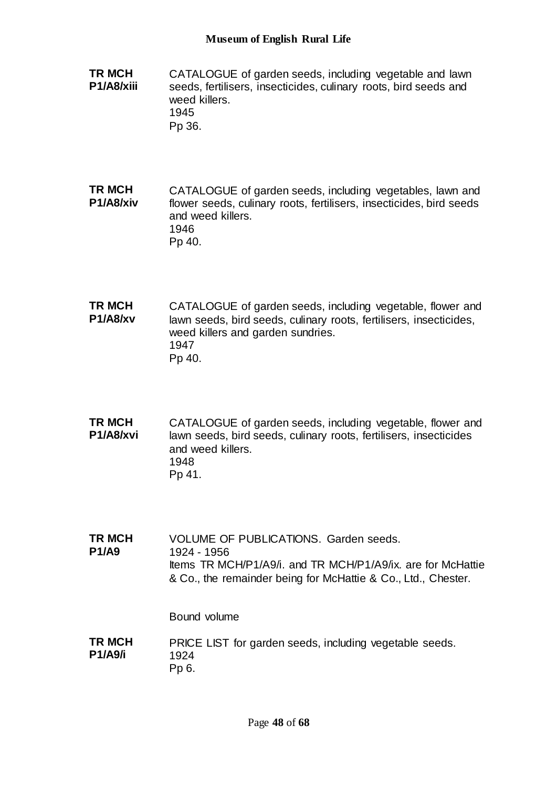- **TR MCH P1/A8/xiii** CATALOGUE of garden seeds, including vegetable and lawn seeds, fertilisers, insecticides, culinary roots, bird seeds and weed killers. 1945 Pp 36.
- **TR MCH P1/A8/xiv** CATALOGUE of garden seeds, including vegetables, lawn and flower seeds, culinary roots, fertilisers, insecticides, bird seeds and weed killers. 1946 Pp 40.
- **TR MCH P1/A8/xv** CATALOGUE of garden seeds, including vegetable, flower and lawn seeds, bird seeds, culinary roots, fertilisers, insecticides, weed killers and garden sundries. 1947 Pp 40.
- **TR MCH P1/A8/xvi** CATALOGUE of garden seeds, including vegetable, flower and lawn seeds, bird seeds, culinary roots, fertilisers, insecticides and weed killers. 1948 Pp 41.
- **TR MCH P1/A9** VOLUME OF PUBLICATIONS. Garden seeds. 1924 - 1956 Items TR MCH/P1/A9/i. and TR MCH/P1/A9/ix. are for McHattie & Co., the remainder being for McHattie & Co., Ltd., Chester.

Bound volume

### **TR MCH P1/A9/i** PRICE LIST for garden seeds, including vegetable seeds. 1924 Pp 6.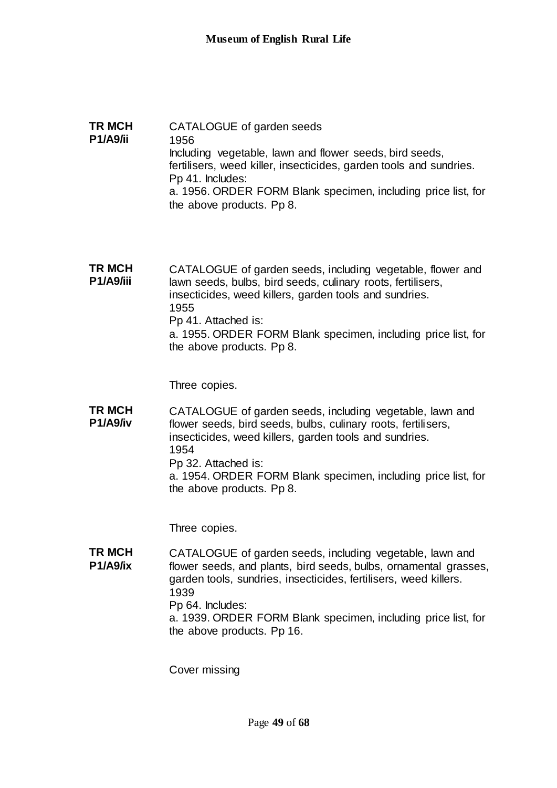**TR MCH P1/A9/ii** CATALOGUE of garden seeds 1956 Including vegetable, lawn and flower seeds, bird seeds, fertilisers, weed killer, insecticides, garden tools and sundries. Pp 41. Includes: a. 1956. ORDER FORM Blank specimen, including price list, for the above products. Pp 8.

**TR MCH P1/A9/iii** CATALOGUE of garden seeds, including vegetable, flower and lawn seeds, bulbs, bird seeds, culinary roots, fertilisers, insecticides, weed killers, garden tools and sundries. 1955 Pp 41. Attached is: a. 1955. ORDER FORM Blank specimen, including price list, for the above products. Pp 8.

Three copies.

**TR MCH P1/A9/iv** CATALOGUE of garden seeds, including vegetable, lawn and flower seeds, bird seeds, bulbs, culinary roots, fertilisers, insecticides, weed killers, garden tools and sundries. 1954 Pp 32. Attached is: a. 1954. ORDER FORM Blank specimen, including price list, for the above products. Pp 8.

Three copies.

**TR MCH P1/A9/ix** CATALOGUE of garden seeds, including vegetable, lawn and flower seeds, and plants, bird seeds, bulbs, ornamental grasses, garden tools, sundries, insecticides, fertilisers, weed killers. 1939 Pp 64. Includes: a. 1939. ORDER FORM Blank specimen, including price list, for the above products. Pp 16.

Cover missing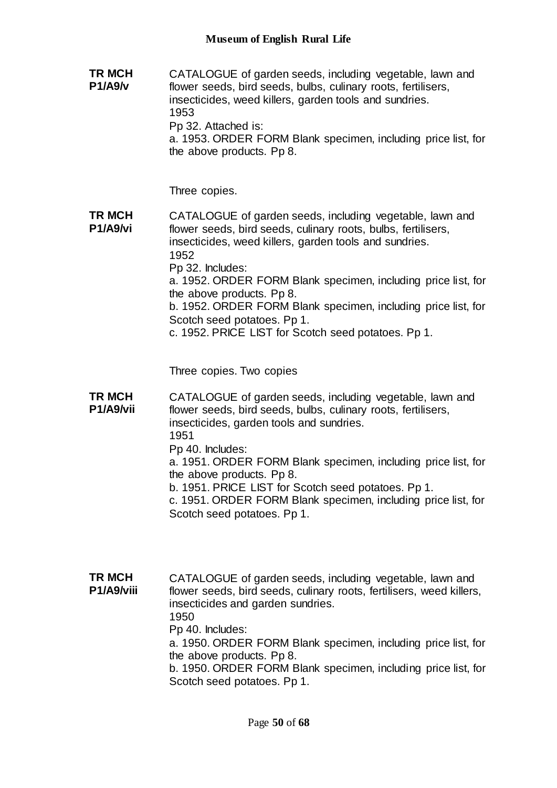**TR MCH P1/A9/v** CATALOGUE of garden seeds, including vegetable, lawn and flower seeds, bird seeds, bulbs, culinary roots, fertilisers, insecticides, weed killers, garden tools and sundries. 1953 Pp 32. Attached is: a. 1953. ORDER FORM Blank specimen, including price list, for the above products. Pp 8.

Three copies.

**TR MCH P1/A9/vi** CATALOGUE of garden seeds, including vegetable, lawn and flower seeds, bird seeds, culinary roots, bulbs, fertilisers, insecticides, weed killers, garden tools and sundries. 1952

Pp 32. Includes:

a. 1952. ORDER FORM Blank specimen, including price list, for the above products. Pp 8.

b. 1952. ORDER FORM Blank specimen, including price list, for Scotch seed potatoes. Pp 1.

c. 1952. PRICE LIST for Scotch seed potatoes. Pp 1.

Three copies. Two copies

**TR MCH P1/A9/vii** CATALOGUE of garden seeds, including vegetable, lawn and flower seeds, bird seeds, bulbs, culinary roots, fertilisers, insecticides, garden tools and sundries. 1951 Pp 40. Includes: a. 1951. ORDER FORM Blank specimen, including price list, for the above products. Pp 8. b. 1951. PRICE LIST for Scotch seed potatoes. Pp 1. c. 1951. ORDER FORM Blank specimen, including price list, for Scotch seed potatoes. Pp 1.

**TR MCH P1/A9/viii** CATALOGUE of garden seeds, including vegetable, lawn and flower seeds, bird seeds, culinary roots, fertilisers, weed killers, insecticides and garden sundries. 1950 Pp 40. Includes: a. 1950. ORDER FORM Blank specimen, including price list, for the above products. Pp 8. b. 1950. ORDER FORM Blank specimen, including price list, for Scotch seed potatoes. Pp 1.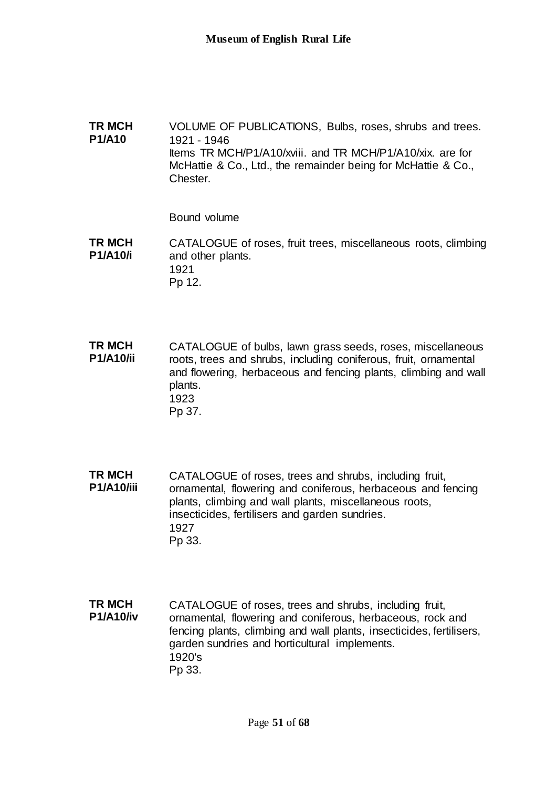**TR MCH P1/A10** VOLUME OF PUBLICATIONS, Bulbs, roses, shrubs and trees. 1921 - 1946 Items TR MCH/P1/A10/xviii. and TR MCH/P1/A10/xix. are for McHattie & Co., Ltd., the remainder being for McHattie & Co., Chester.

Bound volume

**TR MCH P1/A10/i** CATALOGUE of roses, fruit trees, miscellaneous roots, climbing and other plants. 1921 Pp 12.

**TR MCH P1/A10/ii** CATALOGUE of bulbs, lawn grass seeds, roses, miscellaneous roots, trees and shrubs, including coniferous, fruit, ornamental and flowering, herbaceous and fencing plants, climbing and wall plants. 1923 Pp 37.

**TR MCH P1/A10/iii** CATALOGUE of roses, trees and shrubs, including fruit, ornamental, flowering and coniferous, herbaceous and fencing plants, climbing and wall plants, miscellaneous roots, insecticides, fertilisers and garden sundries. 1927 Pp 33.

**TR MCH P1/A10/iv** CATALOGUE of roses, trees and shrubs, including fruit, ornamental, flowering and coniferous, herbaceous, rock and fencing plants, climbing and wall plants, insecticides, fertilisers, garden sundries and horticultural implements. 1920's Pp 33.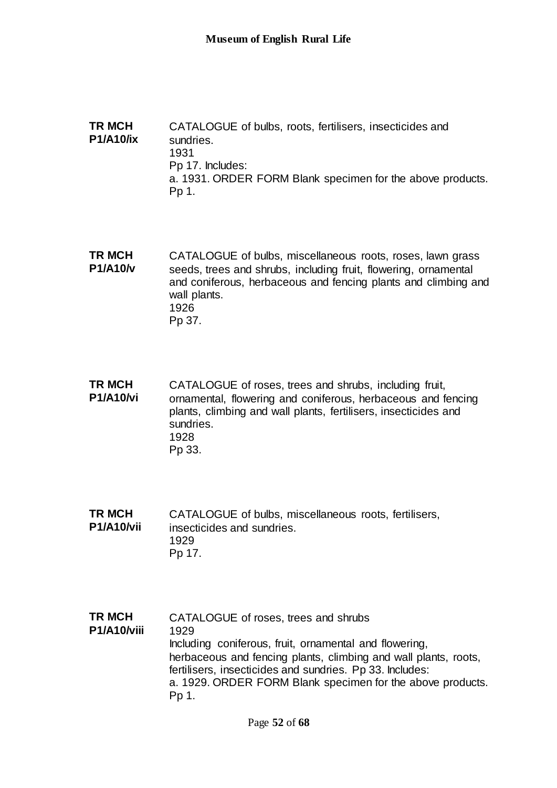**TR MCH P1/A10/ix** CATALOGUE of bulbs, roots, fertilisers, insecticides and sundries. 1931 Pp 17. Includes: a. 1931. ORDER FORM Blank specimen for the above products. Pp 1.

**TR MCH P1/A10/v** CATALOGUE of bulbs, miscellaneous roots, roses, lawn grass seeds, trees and shrubs, including fruit, flowering, ornamental and coniferous, herbaceous and fencing plants and climbing and wall plants. 1926 Pp 37.

- **TR MCH P1/A10/vi** CATALOGUE of roses, trees and shrubs, including fruit, ornamental, flowering and coniferous, herbaceous and fencing plants, climbing and wall plants, fertilisers, insecticides and sundries. 1928 Pp 33.
- **TR MCH P1/A10/vii** CATALOGUE of bulbs, miscellaneous roots, fertilisers, insecticides and sundries. 1929 Pp 17.
- **TR MCH P1/A10/viii** CATALOGUE of roses, trees and shrubs 1929 Including coniferous, fruit, ornamental and flowering, herbaceous and fencing plants, climbing and wall plants, roots, fertilisers, insecticides and sundries. Pp 33. Includes: a. 1929. ORDER FORM Blank specimen for the above products. Pp 1.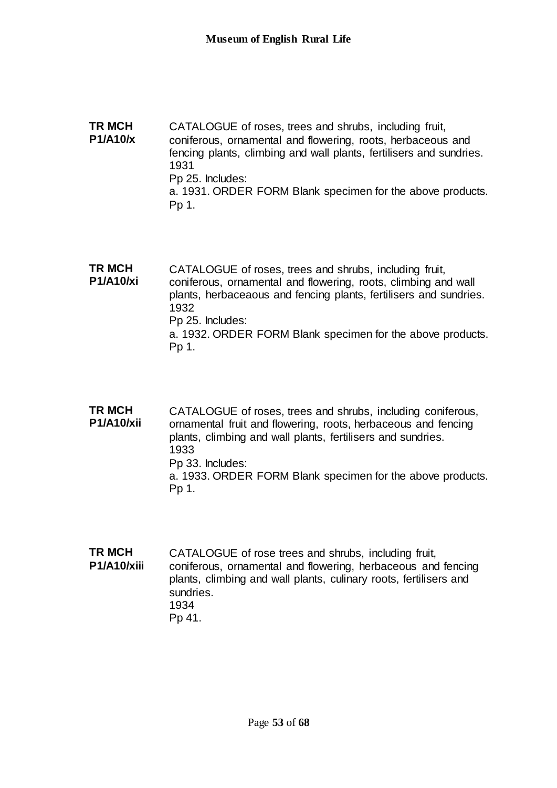**TR MCH P1/A10/x** CATALOGUE of roses, trees and shrubs, including fruit, coniferous, ornamental and flowering, roots, herbaceous and fencing plants, climbing and wall plants, fertilisers and sundries. 1931 Pp 25. Includes: a. 1931. ORDER FORM Blank specimen for the above products. Pp 1.

**TR MCH P1/A10/xi** CATALOGUE of roses, trees and shrubs, including fruit, coniferous, ornamental and flowering, roots, climbing and wall plants, herbaceaous and fencing plants, fertilisers and sundries. 1932 Pp 25. Includes: a. 1932. ORDER FORM Blank specimen for the above products. Pp 1.

**TR MCH P1/A10/xii** CATALOGUE of roses, trees and shrubs, including coniferous, ornamental fruit and flowering, roots, herbaceous and fencing plants, climbing and wall plants, fertilisers and sundries. 1933 Pp 33. Includes: a. 1933. ORDER FORM Blank specimen for the above products. Pp 1.

**TR MCH P1/A10/xiii** CATALOGUE of rose trees and shrubs, including fruit, coniferous, ornamental and flowering, herbaceous and fencing plants, climbing and wall plants, culinary roots, fertilisers and sundries. 1934 Pp 41.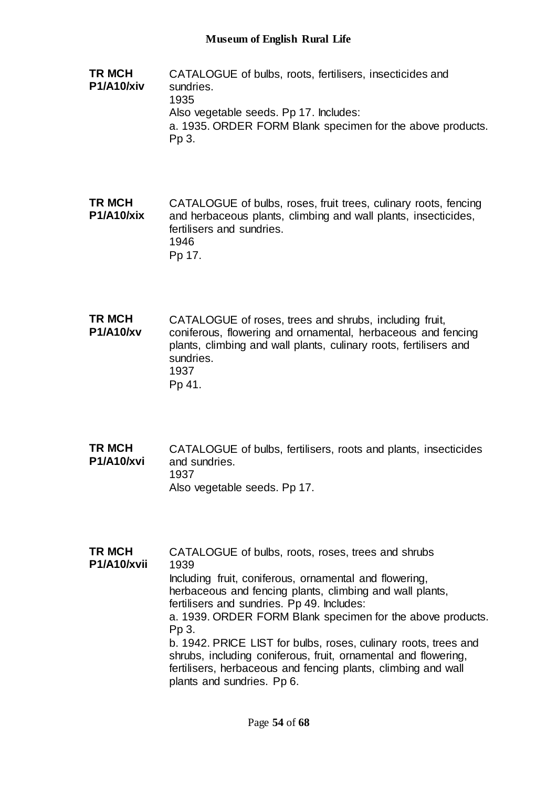**TR MCH P1/A10/xiv** CATALOGUE of bulbs, roots, fertilisers, insecticides and sundries. 1935 Also vegetable seeds. Pp 17. Includes: a. 1935. ORDER FORM Blank specimen for the above products. Pp 3.

**TR MCH P1/A10/xix** CATALOGUE of bulbs, roses, fruit trees, culinary roots, fencing and herbaceous plants, climbing and wall plants, insecticides, fertilisers and sundries. 1946 Pp 17.

**TR MCH P1/A10/xv** CATALOGUE of roses, trees and shrubs, including fruit, coniferous, flowering and ornamental, herbaceous and fencing plants, climbing and wall plants, culinary roots, fertilisers and sundries. 1937 Pp 41.

**TR MCH P1/A10/xvi** CATALOGUE of bulbs, fertilisers, roots and plants, insecticides and sundries. 1937 Also vegetable seeds. Pp 17.

**TR MCH P1/A10/xvii** CATALOGUE of bulbs, roots, roses, trees and shrubs 1939 Including fruit, coniferous, ornamental and flowering, herbaceous and fencing plants, climbing and wall plants, fertilisers and sundries. Pp 49. Includes: a. 1939. ORDER FORM Blank specimen for the above products. Pp 3. b. 1942. PRICE LIST for bulbs, roses, culinary roots, trees and shrubs, including coniferous, fruit, ornamental and flowering, fertilisers, herbaceous and fencing plants, climbing and wall plants and sundries. Pp 6.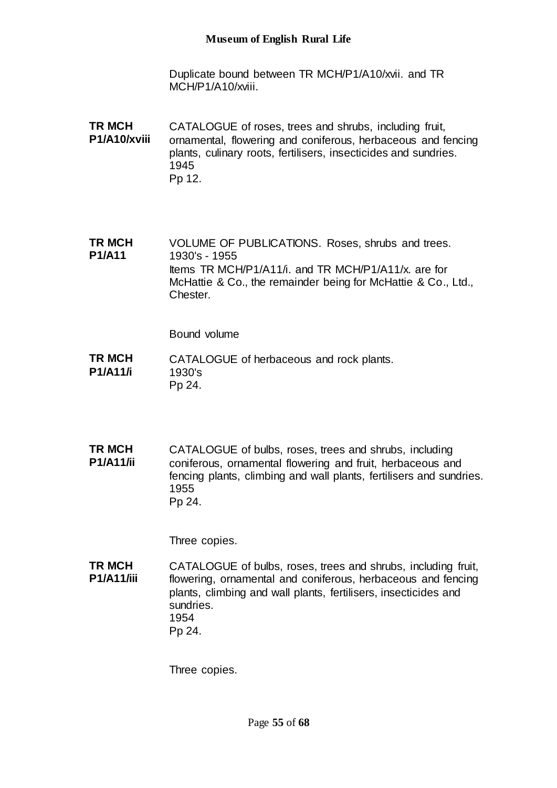Duplicate bound between TR MCH/P1/A10/xvii. and TR MCH/P1/A10/xviii.

**TR MCH P1/A10/xviii** CATALOGUE of roses, trees and shrubs, including fruit, ornamental, flowering and coniferous, herbaceous and fencing plants, culinary roots, fertilisers, insecticides and sundries. 1945 Pp 12.

**TR MCH P1/A11** VOLUME OF PUBLICATIONS. Roses, shrubs and trees. 1930's - 1955 Items TR MCH/P1/A11/i. and TR MCH/P1/A11/x. are for McHattie & Co., the remainder being for McHattie & Co., Ltd., **Chester** 

Bound volume

- **TR MCH P1/A11/i** CATALOGUE of herbaceous and rock plants. 1930's Pp 24.
- **TR MCH P1/A11/ii** CATALOGUE of bulbs, roses, trees and shrubs, including coniferous, ornamental flowering and fruit, herbaceous and fencing plants, climbing and wall plants, fertilisers and sundries. 1955 Pp 24.

Three copies.

**TR MCH P1/A11/iii** CATALOGUE of bulbs, roses, trees and shrubs, including fruit, flowering, ornamental and coniferous, herbaceous and fencing plants, climbing and wall plants, fertilisers, insecticides and sundries. 1954 Pp 24.

Three copies.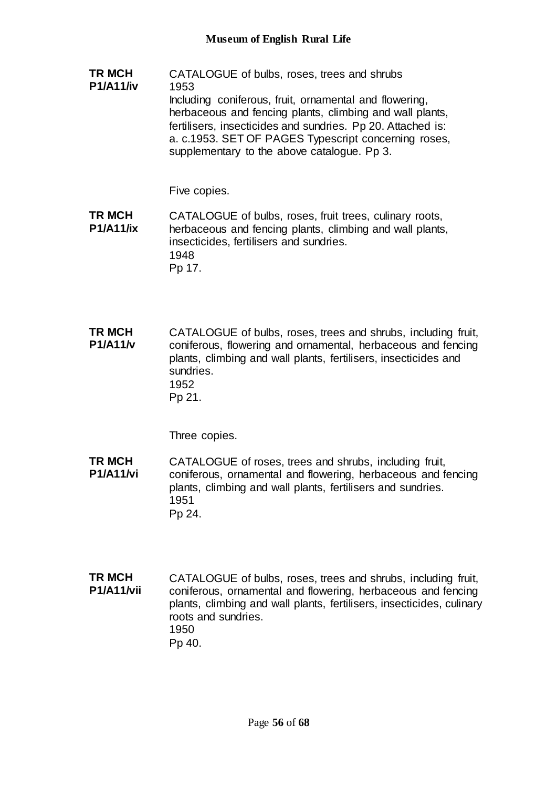**TR MCH P1/A11/iv** CATALOGUE of bulbs, roses, trees and shrubs 1953 Including coniferous, fruit, ornamental and flowering, herbaceous and fencing plants, climbing and wall plants, fertilisers, insecticides and sundries. Pp 20. Attached is: a. c.1953. SET OF PAGES Typescript concerning roses, supplementary to the above catalogue. Pp 3.

Five copies.

**TR MCH P1/A11/ix** CATALOGUE of bulbs, roses, fruit trees, culinary roots, herbaceous and fencing plants, climbing and wall plants, insecticides, fertilisers and sundries. 1948 Pp 17.

**TR MCH P1/A11/v** CATALOGUE of bulbs, roses, trees and shrubs, including fruit, coniferous, flowering and ornamental, herbaceous and fencing plants, climbing and wall plants, fertilisers, insecticides and sundries. 1952 Pp 21.

Three copies.

- **TR MCH P1/A11/vi** CATALOGUE of roses, trees and shrubs, including fruit, coniferous, ornamental and flowering, herbaceous and fencing plants, climbing and wall plants, fertilisers and sundries. 1951 Pp 24.
- **TR MCH P1/A11/vii** CATALOGUE of bulbs, roses, trees and shrubs, including fruit, coniferous, ornamental and flowering, herbaceous and fencing plants, climbing and wall plants, fertilisers, insecticides, culinary roots and sundries. 1950 Pp 40.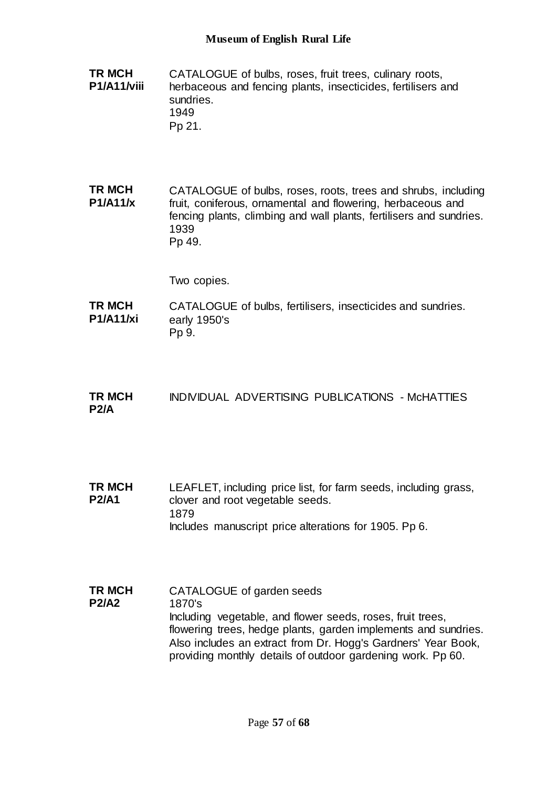- **TR MCH P1/A11/viii** CATALOGUE of bulbs, roses, fruit trees, culinary roots, herbaceous and fencing plants, insecticides, fertilisers and sundries. 1949 Pp 21.
- **TR MCH P1/A11/x** CATALOGUE of bulbs, roses, roots, trees and shrubs, including fruit, coniferous, ornamental and flowering, herbaceous and fencing plants, climbing and wall plants, fertilisers and sundries. 1939 Pp 49.

Two copies.

- **TR MCH P1/A11/xi** CATALOGUE of bulbs, fertilisers, insecticides and sundries. early 1950's Pp 9.
- **TR MCH P2/A** INDIVIDUAL ADVERTISING PUBLICATIONS - McHATTIES
- **TR MCH P2/A1** LEAFLET, including price list, for farm seeds, including grass, clover and root vegetable seeds. 1879 Includes manuscript price alterations for 1905. Pp 6.
- **TR MCH P2/A2** CATALOGUE of garden seeds 1870's Including vegetable, and flower seeds, roses, fruit trees, flowering trees, hedge plants, garden implements and sundries. Also includes an extract from Dr. Hogg's Gardners' Year Book, providing monthly details of outdoor gardening work. Pp 60.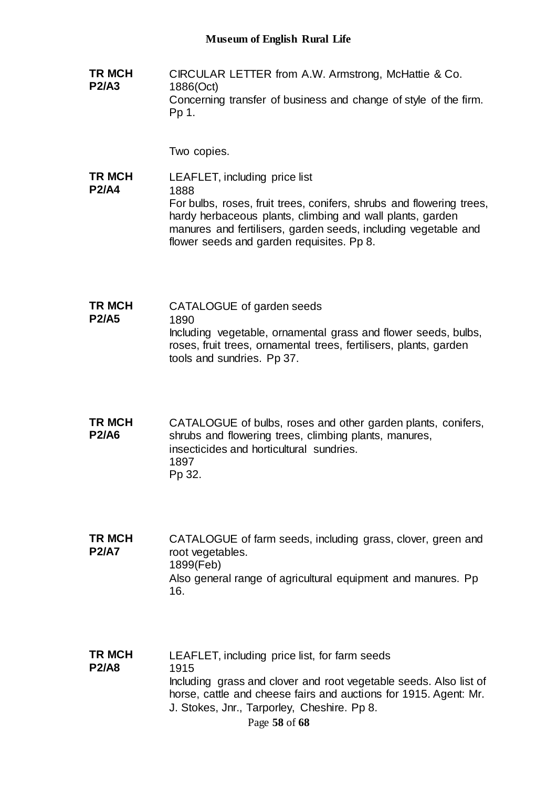**TR MCH P2/A3** CIRCULAR LETTER from A.W. Armstrong, McHattie & Co. 1886(Oct) Concerning transfer of business and change of style of the firm. Pp 1.

Two copies.

**TR MCH P2/A4** LEAFLET, including price list 1888 For bulbs, roses, fruit trees, conifers, shrubs and flowering trees, hardy herbaceous plants, climbing and wall plants, garden manures and fertilisers, garden seeds, including vegetable and flower seeds and garden requisites. Pp 8.

**TR MCH P2/A5** CATALOGUE of garden seeds 1890 Including vegetable, ornamental grass and flower seeds, bulbs, roses, fruit trees, ornamental trees, fertilisers, plants, garden tools and sundries. Pp 37.

**TR MCH P2/A6** CATALOGUE of bulbs, roses and other garden plants, conifers, shrubs and flowering trees, climbing plants, manures, insecticides and horticultural sundries. 1897 Pp 32.

- **TR MCH P2/A7** CATALOGUE of farm seeds, including grass, clover, green and root vegetables. 1899(Feb) Also general range of agricultural equipment and manures. Pp 16.
- Page **58** of **68 TR MCH P2/A8** LEAFLET, including price list, for farm seeds 1915 Including grass and clover and root vegetable seeds. Also list of horse, cattle and cheese fairs and auctions for 1915. Agent: Mr. J. Stokes, Jnr., Tarporley, Cheshire. Pp 8.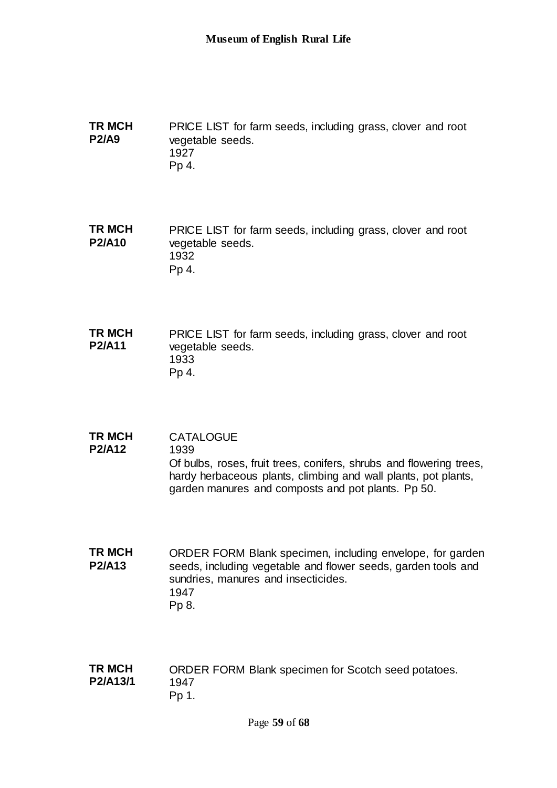**TR MCH P2/A9** PRICE LIST for farm seeds, including grass, clover and root vegetable seeds. 1927 Pp 4.

**TR MCH P2/A10** PRICE LIST for farm seeds, including grass, clover and root vegetable seeds. 1932 Pp 4.

**TR MCH P2/A11** PRICE LIST for farm seeds, including grass, clover and root vegetable seeds. 1933 Pp 4.

**TR MCH P2/A12 CATALOGUE** 1939 Of bulbs, roses, fruit trees, conifers, shrubs and flowering trees, hardy herbaceous plants, climbing and wall plants, pot plants, garden manures and composts and pot plants. Pp 50.

**TR MCH P2/A13** ORDER FORM Blank specimen, including envelope, for garden seeds, including vegetable and flower seeds, garden tools and sundries, manures and insecticides. 1947 Pp 8.

**TR MCH P2/A13/1** ORDER FORM Blank specimen for Scotch seed potatoes. 1947 Pp 1.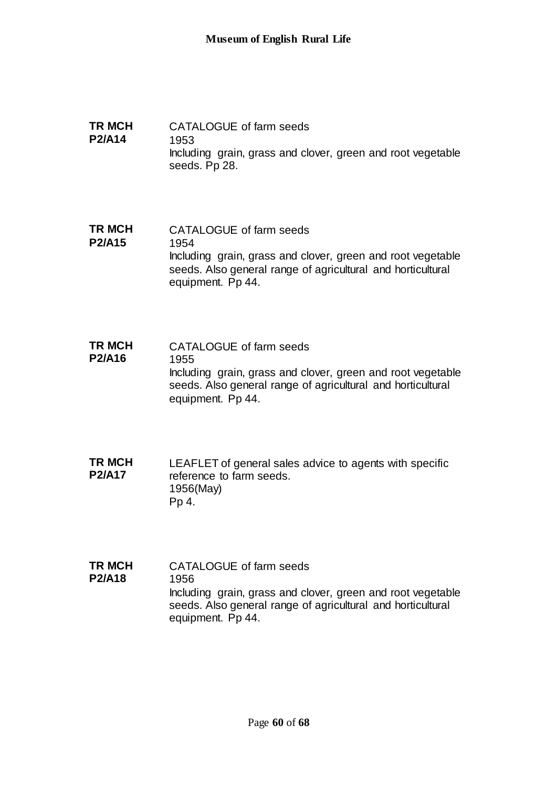- **TR MCH P2/A14** CATALOGUE of farm seeds 1953 Including grain, grass and clover, green and root vegetable seeds. Pp 28.
- **TR MCH P2/A15** CATALOGUE of farm seeds 1954 Including grain, grass and clover, green and root vegetable seeds. Also general range of agricultural and horticultural equipment. Pp 44.
- **TR MCH P2/A16** CATALOGUE of farm seeds 1955 Including grain, grass and clover, green and root vegetable seeds. Also general range of agricultural and horticultural equipment. Pp 44.
- **TR MCH P2/A17** LEAFLET of general sales advice to agents with specific reference to farm seeds. 1956(May) Pp 4.
- **TR MCH P2/A18** CATALOGUE of farm seeds 1956 Including grain, grass and clover, green and root vegetable seeds. Also general range of agricultural and horticultural equipment. Pp 44.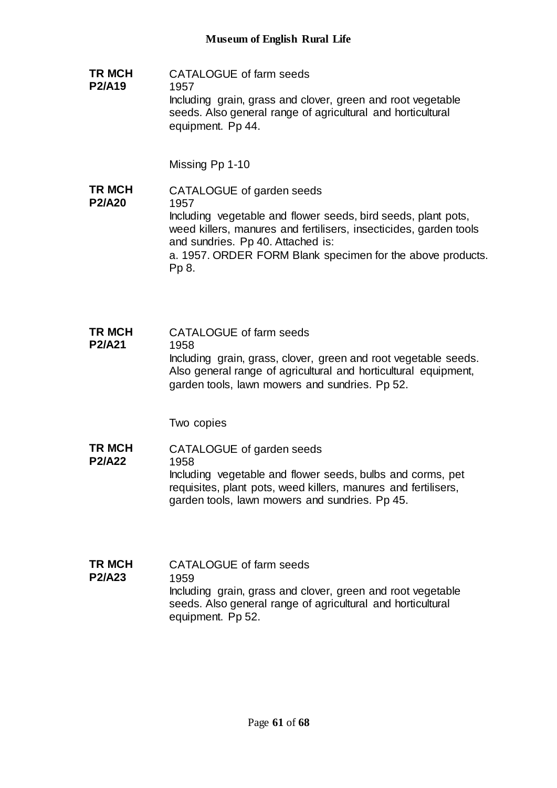**TR MCH P2/A19** CATALOGUE of farm seeds 1957 Including grain, grass and clover, green and root vegetable seeds. Also general range of agricultural and horticultural equipment. Pp 44.

Missing Pp 1-10

- **TR MCH P2/A20** CATALOGUE of garden seeds 1957 Including vegetable and flower seeds, bird seeds, plant pots, weed killers, manures and fertilisers, insecticides, garden tools and sundries. Pp 40. Attached is: a. 1957. ORDER FORM Blank specimen for the above products. Pp 8.
- **TR MCH P2/A21** CATALOGUE of farm seeds 1958 Including grain, grass, clover, green and root vegetable seeds. Also general range of agricultural and horticultural equipment, garden tools, lawn mowers and sundries. Pp 52.

Two copies

- **TR MCH P2/A22** CATALOGUE of garden seeds 1958 Including vegetable and flower seeds, bulbs and corms, pet requisites, plant pots, weed killers, manures and fertilisers, garden tools, lawn mowers and sundries. Pp 45.
- **TR MCH P2/A23** CATALOGUE of farm seeds 1959 Including grain, grass and clover, green and root vegetable seeds. Also general range of agricultural and horticultural equipment. Pp 52.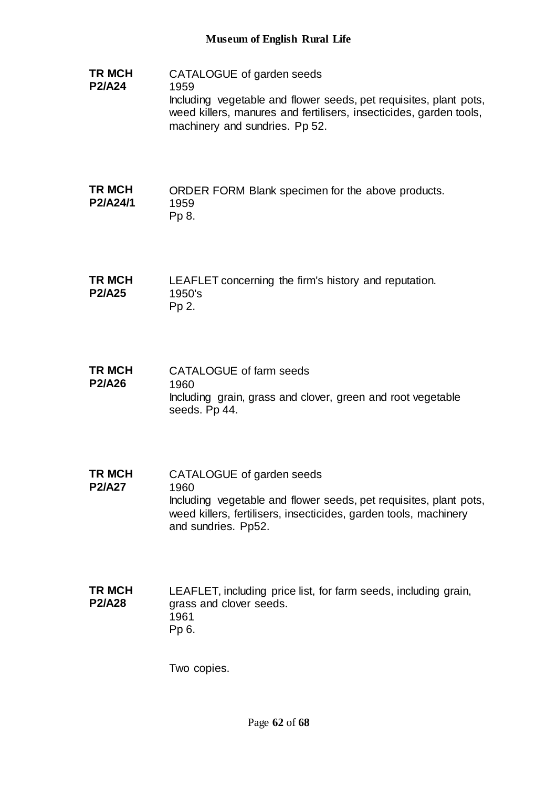**TR MCH P2/A24** CATALOGUE of garden seeds 1959 Including vegetable and flower seeds, pet requisites, plant pots, weed killers, manures and fertilisers, insecticides, garden tools, machinery and sundries. Pp 52.

### **TR MCH P2/A24/1** ORDER FORM Blank specimen for the above products. 1959 Pp 8.

- **TR MCH P2/A25** LEAFLET concerning the firm's history and reputation. 1950's Pp 2.
- **TR MCH P2/A26** CATALOGUE of farm seeds 1960 Including grain, grass and clover, green and root vegetable seeds. Pp 44.
- **TR MCH P2/A27** CATALOGUE of garden seeds 1960 Including vegetable and flower seeds, pet requisites, plant pots, weed killers, fertilisers, insecticides, garden tools, machinery and sundries. Pp52.

**TR MCH P2/A28** LEAFLET, including price list, for farm seeds, including grain, grass and clover seeds. 1961 Pp 6.

Two copies.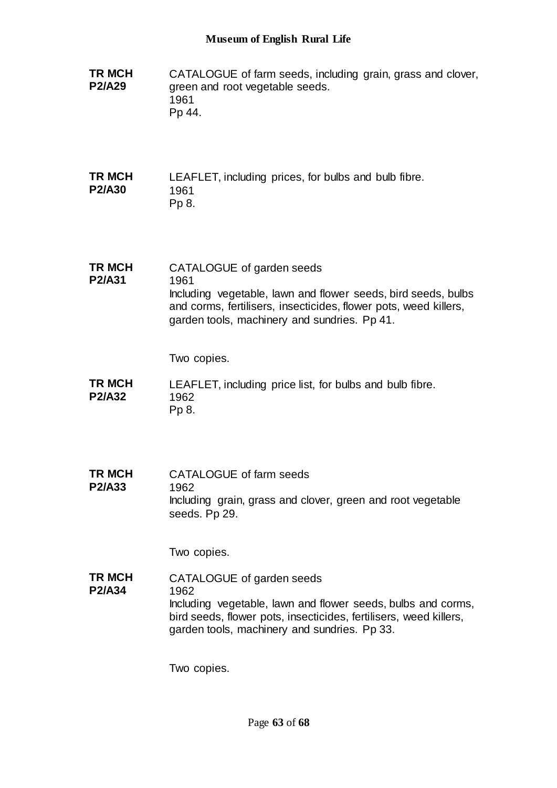| <b>TR MCH</b><br><b>P2/A29</b> | CATALOGUE of farm seeds, including grain, grass and clover,<br>green and root vegetable seeds.<br>1961<br>Pp 44.                                                                                                                      |
|--------------------------------|---------------------------------------------------------------------------------------------------------------------------------------------------------------------------------------------------------------------------------------|
| <b>TR MCH</b><br><b>P2/A30</b> | LEAFLET, including prices, for bulbs and bulb fibre.<br>1961<br>Pp 8.                                                                                                                                                                 |
| <b>TR MCH</b><br>P2/A31        | CATALOGUE of garden seeds<br>1961<br>Including vegetable, lawn and flower seeds, bird seeds, bulbs<br>and corms, fertilisers, insecticides, flower pots, weed killers,<br>garden tools, machinery and sundries. Pp 41.<br>Two copies. |
| <b>TR MCH</b><br><b>P2/A32</b> | LEAFLET, including price list, for bulbs and bulb fibre.<br>1962<br>Pp 8.                                                                                                                                                             |
| <b>TR MCH</b><br><b>P2/A33</b> | CATALOGUE of farm seeds<br>1962<br>Including grain, grass and clover, green and root vegetable<br>seeds. Pp 29.<br>Two copies.                                                                                                        |
| TR MCH<br><b>P2/A34</b>        | CATALOGUE of garden seeds<br>1962<br>Including vegetable, lawn and flower seeds, bulbs and corms,<br>bird seeds, flower pots, insecticides, fertilisers, weed killers,<br>garden tools, machinery and sundries. Pp 33.                |
|                                | Two copies.                                                                                                                                                                                                                           |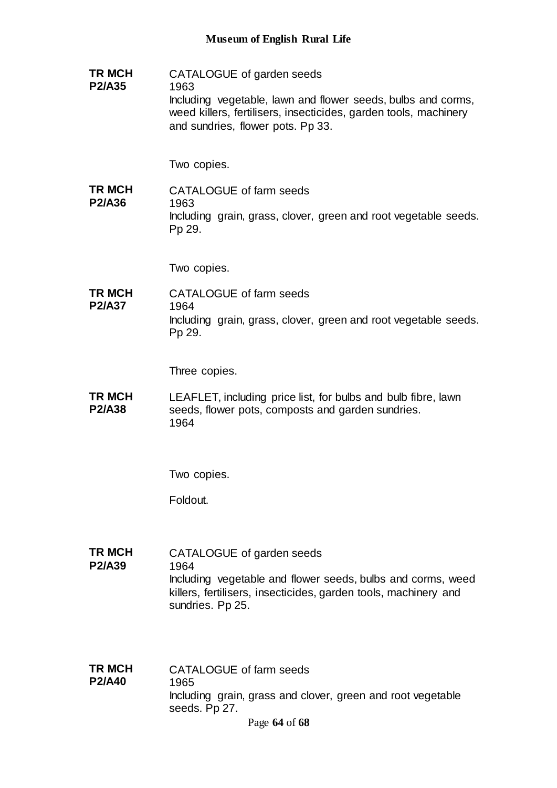**TR MCH P2/A35** CATALOGUE of garden seeds 1963 Including vegetable, lawn and flower seeds, bulbs and corms, weed killers, fertilisers, insecticides, garden tools, machinery and sundries, flower pots. Pp 33.

Two copies.

**TR MCH P2/A36** CATALOGUE of farm seeds 1963 Including grain, grass, clover, green and root vegetable seeds. Pp 29.

Two copies.

**TR MCH P2/A37** CATALOGUE of farm seeds 1964 Including grain, grass, clover, green and root vegetable seeds. Pp 29.

Three copies.

**TR MCH P2/A38** LEAFLET, including price list, for bulbs and bulb fibre, lawn seeds, flower pots, composts and garden sundries. 1964

Two copies.

Foldout.

**TR MCH P2/A39** CATALOGUE of garden seeds 1964 Including vegetable and flower seeds, bulbs and corms, weed killers, fertilisers, insecticides, garden tools, machinery and sundries. Pp 25.

**TR MCH P2/A40** CATALOGUE of farm seeds 1965 Including grain, grass and clover, green and root vegetable seeds. Pp 27.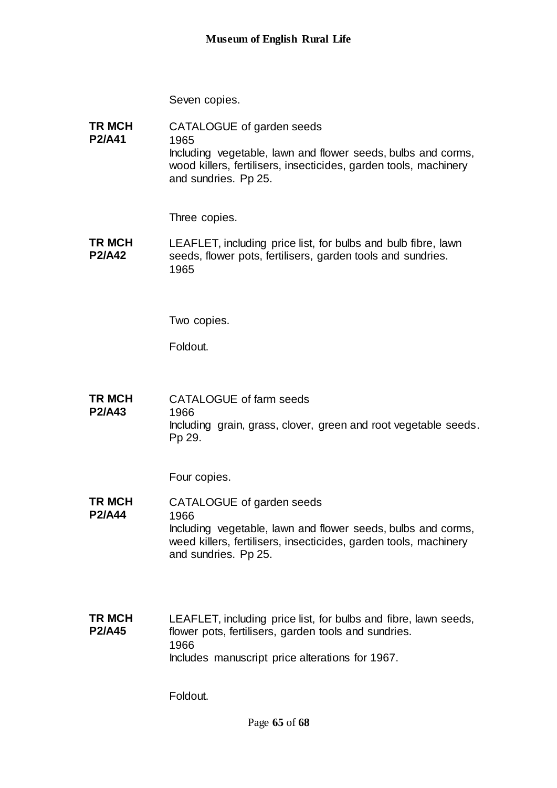Seven copies.

**TR MCH P2/A41** CATALOGUE of garden seeds 1965 Including vegetable, lawn and flower seeds, bulbs and corms, wood killers, fertilisers, insecticides, garden tools, machinery and sundries. Pp 25.

Three copies.

**TR MCH P2/A42** LEAFLET, including price list, for bulbs and bulb fibre, lawn seeds, flower pots, fertilisers, garden tools and sundries. 1965

Two copies.

Foldout.

**TR MCH P2/A43** CATALOGUE of farm seeds 1966 Including grain, grass, clover, green and root vegetable seeds. Pp 29.

Four copies.

**TR MCH P2/A44** CATALOGUE of garden seeds 1966 Including vegetable, lawn and flower seeds, bulbs and corms, weed killers, fertilisers, insecticides, garden tools, machinery and sundries. Pp 25.

**TR MCH P2/A45** LEAFLET, including price list, for bulbs and fibre, lawn seeds, flower pots, fertilisers, garden tools and sundries. 1966 Includes manuscript price alterations for 1967.

Foldout.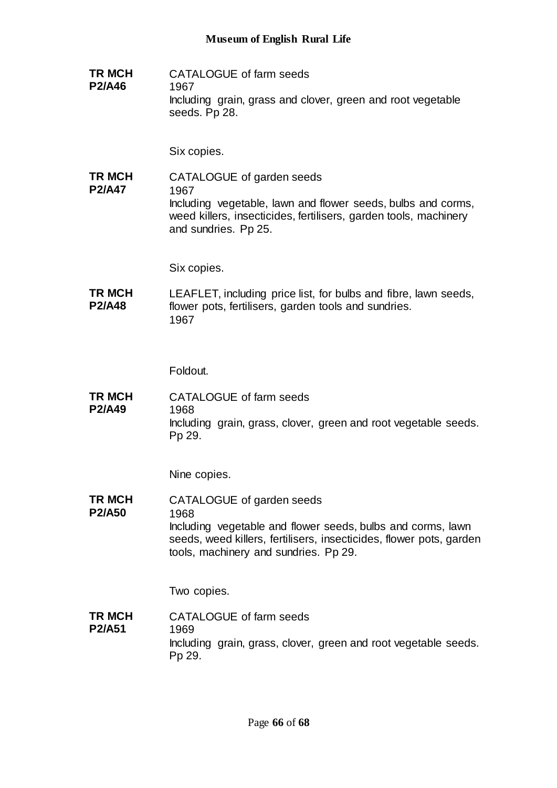**TR MCH P2/A46** CATALOGUE of farm seeds 1967 Including grain, grass and clover, green and root vegetable seeds. Pp 28.

Six copies.

**TR MCH P2/A47** CATALOGUE of garden seeds 1967 Including vegetable, lawn and flower seeds, bulbs and corms, weed killers, insecticides, fertilisers, garden tools, machinery and sundries. Pp 25.

Six copies.

**TR MCH P2/A48** LEAFLET, including price list, for bulbs and fibre, lawn seeds, flower pots, fertilisers, garden tools and sundries. 1967

Foldout.

**TR MCH P2/A49** CATALOGUE of farm seeds 1968 Including grain, grass, clover, green and root vegetable seeds. Pp 29.

Nine copies.

**TR MCH P2/A50** CATALOGUE of garden seeds 1968 Including vegetable and flower seeds, bulbs and corms, lawn seeds, weed killers, fertilisers, insecticides, flower pots, garden tools, machinery and sundries. Pp 29.

Two copies.

**TR MCH P2/A51** CATALOGUE of farm seeds 1969 Including grain, grass, clover, green and root vegetable seeds. Pp 29.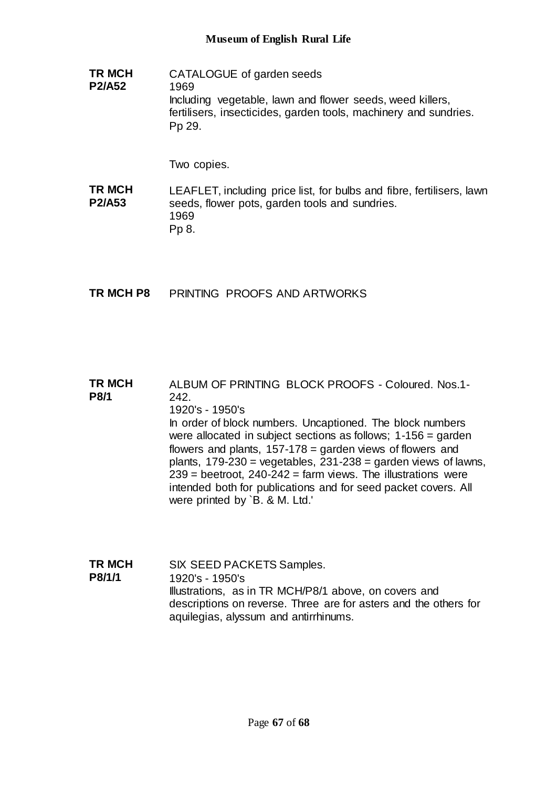**TR MCH P2/A52** CATALOGUE of garden seeds 1969 Including vegetable, lawn and flower seeds, weed killers, fertilisers, insecticides, garden tools, machinery and sundries. Pp 29.

Two copies.

**TR MCH P2/A53** LEAFLET, including price list, for bulbs and fibre, fertilisers, lawn seeds, flower pots, garden tools and sundries. 1969 Pp 8.

**TR MCH P8** PRINTING PROOFS AND ARTWORKS

### **TR MCH P8/1** ALBUM OF PRINTING BLOCK PROOFS - Coloured. Nos.1- 242. 1920's - 1950's In order of block numbers. Uncaptioned. The block numbers were allocated in subject sections as follows; 1-156 = garden flowers and plants, 157-178 = garden views of flowers and plants,  $179-230$  = vegetables,  $231-238$  = garden views of lawns,

 $239$  = beetroot,  $240-242$  = farm views. The illustrations were intended both for publications and for seed packet covers. All were printed by `B. & M. Ltd.'

**TR MCH P8/1/1** SIX SEED PACKETS Samples. 1920's - 1950's Illustrations, as in TR MCH/P8/1 above, on covers and descriptions on reverse. Three are for asters and the others for aquilegias, alyssum and antirrhinums.